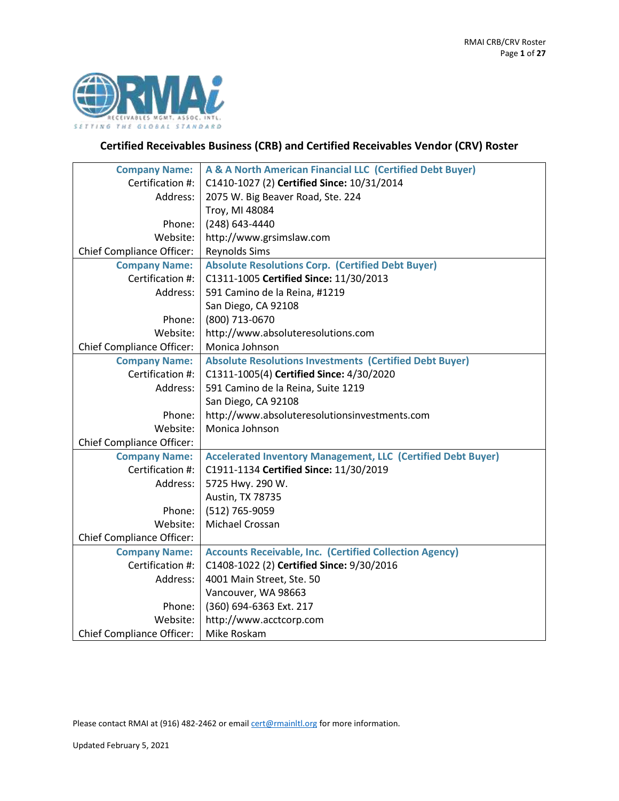

## **Certified Receivables Business (CRB) and Certified Receivables Vendor (CRV) Roster**

| <b>Company Name:</b>             | A & A North American Financial LLC (Certified Debt Buyer)           |
|----------------------------------|---------------------------------------------------------------------|
| Certification #:                 | C1410-1027 (2) Certified Since: 10/31/2014                          |
| Address:                         | 2075 W. Big Beaver Road, Ste. 224                                   |
|                                  | Troy, MI 48084                                                      |
| Phone:                           | (248) 643-4440                                                      |
| Website:                         | http://www.grsimslaw.com                                            |
| <b>Chief Compliance Officer:</b> | <b>Reynolds Sims</b>                                                |
| <b>Company Name:</b>             | <b>Absolute Resolutions Corp. (Certified Debt Buyer)</b>            |
| Certification #:                 | C1311-1005 Certified Since: 11/30/2013                              |
| Address:                         | 591 Camino de la Reina, #1219                                       |
|                                  | San Diego, CA 92108                                                 |
| Phone:                           | (800) 713-0670                                                      |
| Website:                         | http://www.absoluteresolutions.com                                  |
| <b>Chief Compliance Officer:</b> | Monica Johnson                                                      |
| <b>Company Name:</b>             | <b>Absolute Resolutions Investments (Certified Debt Buyer)</b>      |
| Certification #:                 | C1311-1005(4) Certified Since: 4/30/2020                            |
| Address:                         | 591 Camino de la Reina, Suite 1219                                  |
|                                  | San Diego, CA 92108                                                 |
| Phone:                           | http://www.absoluteresolutionsinvestments.com                       |
| Website:                         | Monica Johnson                                                      |
| <b>Chief Compliance Officer:</b> |                                                                     |
| <b>Company Name:</b>             | <b>Accelerated Inventory Management, LLC (Certified Debt Buyer)</b> |
| Certification #:                 | C1911-1134 Certified Since: 11/30/2019                              |
| Address:                         | 5725 Hwy. 290 W.                                                    |
|                                  | Austin, TX 78735                                                    |
| Phone:                           | (512) 765-9059                                                      |
| Website:                         | Michael Crossan                                                     |
| <b>Chief Compliance Officer:</b> |                                                                     |
| <b>Company Name:</b>             | <b>Accounts Receivable, Inc. (Certified Collection Agency)</b>      |
| Certification #:                 | C1408-1022 (2) Certified Since: 9/30/2016                           |
| Address:                         | 4001 Main Street, Ste. 50                                           |
|                                  | Vancouver, WA 98663                                                 |
| Phone:                           | (360) 694-6363 Ext. 217                                             |
| Website:                         | http://www.acctcorp.com                                             |
| <b>Chief Compliance Officer:</b> | Mike Roskam                                                         |

Please contact RMAI at (916) 482-2462 or emai[l cert@rmainltl.org](mailto:cert@rmainltl.org) for more information.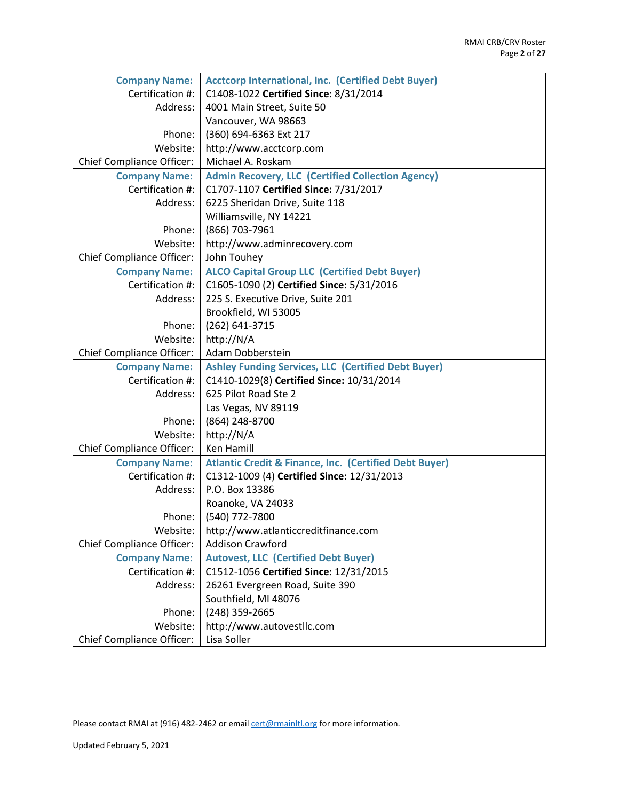| <b>Company Name:</b>             | <b>Acctcorp International, Inc. (Certified Debt Buyer)</b>        |
|----------------------------------|-------------------------------------------------------------------|
| Certification #:                 | C1408-1022 Certified Since: 8/31/2014                             |
| Address:                         | 4001 Main Street, Suite 50                                        |
|                                  | Vancouver, WA 98663                                               |
| Phone:                           | (360) 694-6363 Ext 217                                            |
| Website:                         | http://www.acctcorp.com                                           |
| <b>Chief Compliance Officer:</b> | Michael A. Roskam                                                 |
| <b>Company Name:</b>             | <b>Admin Recovery, LLC (Certified Collection Agency)</b>          |
| Certification #:                 | C1707-1107 Certified Since: 7/31/2017                             |
| Address:                         | 6225 Sheridan Drive, Suite 118                                    |
|                                  | Williamsville, NY 14221                                           |
| Phone:                           | (866) 703-7961                                                    |
| Website:                         | http://www.adminrecovery.com                                      |
| <b>Chief Compliance Officer:</b> | John Touhey                                                       |
| <b>Company Name:</b>             | <b>ALCO Capital Group LLC (Certified Debt Buyer)</b>              |
| Certification #:                 | C1605-1090 (2) Certified Since: 5/31/2016                         |
| Address:                         | 225 S. Executive Drive, Suite 201                                 |
|                                  | Brookfield, WI 53005                                              |
| Phone:                           | (262) 641-3715                                                    |
| Website:                         | http://N/A                                                        |
| <b>Chief Compliance Officer:</b> | Adam Dobberstein                                                  |
| <b>Company Name:</b>             | <b>Ashley Funding Services, LLC (Certified Debt Buyer)</b>        |
| Certification #:                 | C1410-1029(8) Certified Since: 10/31/2014                         |
| Address:                         | 625 Pilot Road Ste 2                                              |
|                                  | Las Vegas, NV 89119                                               |
| Phone:                           | (864) 248-8700                                                    |
| Website:                         | http://N/A                                                        |
| <b>Chief Compliance Officer:</b> | <b>Ken Hamill</b>                                                 |
| <b>Company Name:</b>             | <b>Atlantic Credit &amp; Finance, Inc. (Certified Debt Buyer)</b> |
| Certification #:                 | C1312-1009 (4) Certified Since: 12/31/2013                        |
| Address:                         | P.O. Box 13386                                                    |
|                                  | Roanoke, VA 24033                                                 |
| Phone:                           | (540) 772-7800                                                    |
| Website:                         | http://www.atlanticcreditfinance.com                              |
| <b>Chief Compliance Officer:</b> | <b>Addison Crawford</b>                                           |
| <b>Company Name:</b>             | <b>Autovest, LLC (Certified Debt Buyer)</b>                       |
| Certification #:                 | C1512-1056 Certified Since: 12/31/2015                            |
| Address:                         | 26261 Evergreen Road, Suite 390                                   |
|                                  | Southfield, MI 48076                                              |
| Phone:                           | (248) 359-2665                                                    |
| Website:                         | http://www.autovestllc.com                                        |
| <b>Chief Compliance Officer:</b> | Lisa Soller                                                       |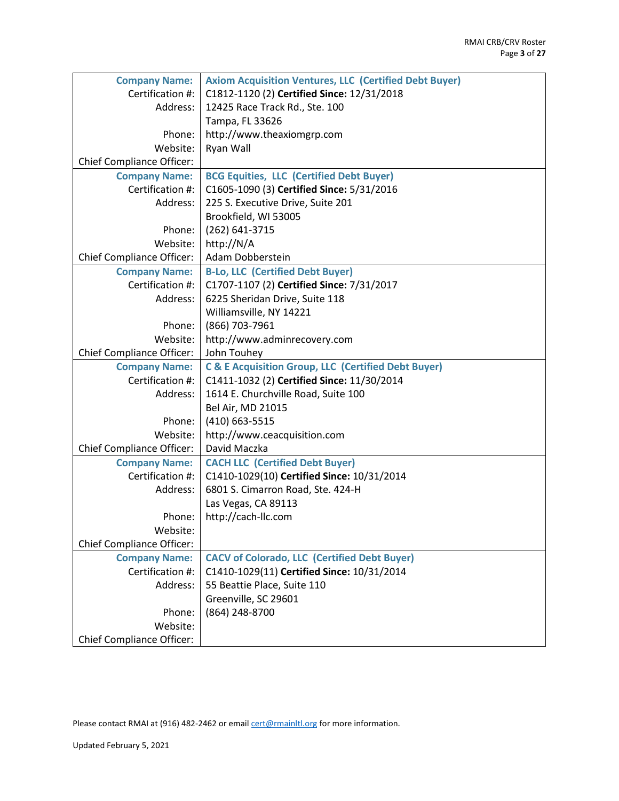| <b>Company Name:</b>             | <b>Axiom Acquisition Ventures, LLC (Certified Debt Buyer)</b>  |
|----------------------------------|----------------------------------------------------------------|
| Certification #:                 | C1812-1120 (2) Certified Since: 12/31/2018                     |
| Address:                         | 12425 Race Track Rd., Ste. 100                                 |
|                                  | Tampa, FL 33626                                                |
| Phone:                           | http://www.theaxiomgrp.com                                     |
| Website:                         | Ryan Wall                                                      |
| <b>Chief Compliance Officer:</b> |                                                                |
| <b>Company Name:</b>             | <b>BCG Equities, LLC (Certified Debt Buyer)</b>                |
| Certification #:                 | C1605-1090 (3) Certified Since: 5/31/2016                      |
| Address:                         | 225 S. Executive Drive, Suite 201                              |
|                                  | Brookfield, WI 53005                                           |
| Phone:                           | (262) 641-3715                                                 |
| Website:                         | http://N/A                                                     |
| <b>Chief Compliance Officer:</b> | Adam Dobberstein                                               |
| <b>Company Name:</b>             | <b>B-Lo, LLC (Certified Debt Buyer)</b>                        |
| Certification #:                 | C1707-1107 (2) Certified Since: 7/31/2017                      |
| Address:                         | 6225 Sheridan Drive, Suite 118                                 |
|                                  | Williamsville, NY 14221                                        |
| Phone:                           | (866) 703-7961                                                 |
| Website:                         | http://www.adminrecovery.com                                   |
| <b>Chief Compliance Officer:</b> | John Touhey                                                    |
| <b>Company Name:</b>             | <b>C &amp; E Acquisition Group, LLC (Certified Debt Buyer)</b> |
| Certification #:                 | C1411-1032 (2) Certified Since: 11/30/2014                     |
| Address:                         | 1614 E. Churchville Road, Suite 100                            |
|                                  | Bel Air, MD 21015                                              |
| Phone:                           | (410) 663-5515                                                 |
| Website:                         | http://www.ceacquisition.com                                   |
| <b>Chief Compliance Officer:</b> | David Maczka                                                   |
| <b>Company Name:</b>             | <b>CACH LLC (Certified Debt Buyer)</b>                         |
| Certification #:                 | C1410-1029(10) Certified Since: 10/31/2014                     |
| Address:                         | 6801 S. Cimarron Road, Ste. 424-H                              |
|                                  | Las Vegas, CA 89113                                            |
| Phone:                           | http://cach-llc.com                                            |
| Website:                         |                                                                |
| <b>Chief Compliance Officer:</b> |                                                                |
| <b>Company Name:</b>             | <b>CACV of Colorado, LLC (Certified Debt Buyer)</b>            |
| Certification #:                 | C1410-1029(11) Certified Since: 10/31/2014                     |
| Address:                         | 55 Beattie Place, Suite 110                                    |
|                                  | Greenville, SC 29601                                           |
| Phone:                           | (864) 248-8700                                                 |
| Website:                         |                                                                |
| <b>Chief Compliance Officer:</b> |                                                                |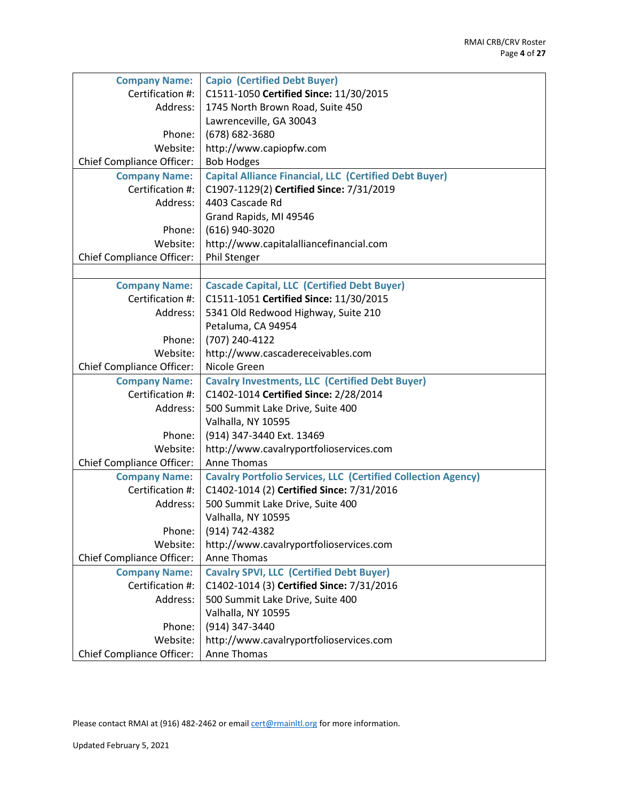| <b>Company Name:</b>             | <b>Capio (Certified Debt Buyer)</b>                                  |
|----------------------------------|----------------------------------------------------------------------|
| Certification #:                 | C1511-1050 Certified Since: 11/30/2015                               |
| Address:                         | 1745 North Brown Road, Suite 450                                     |
|                                  | Lawrenceville, GA 30043                                              |
| Phone:                           | (678) 682-3680                                                       |
| Website:                         | http://www.capiopfw.com                                              |
| <b>Chief Compliance Officer:</b> | <b>Bob Hodges</b>                                                    |
| <b>Company Name:</b>             | <b>Capital Alliance Financial, LLC (Certified Debt Buyer)</b>        |
| Certification #:                 | C1907-1129(2) Certified Since: 7/31/2019                             |
| Address:                         | 4403 Cascade Rd                                                      |
|                                  | Grand Rapids, MI 49546                                               |
| Phone:                           | (616) 940-3020                                                       |
| Website:                         | http://www.capitalalliancefinancial.com                              |
| <b>Chief Compliance Officer:</b> | Phil Stenger                                                         |
|                                  |                                                                      |
| <b>Company Name:</b>             | <b>Cascade Capital, LLC (Certified Debt Buyer)</b>                   |
| Certification #:                 | C1511-1051 Certified Since: 11/30/2015                               |
| Address:                         | 5341 Old Redwood Highway, Suite 210                                  |
|                                  | Petaluma, CA 94954                                                   |
| Phone:                           | (707) 240-4122                                                       |
| Website:                         | http://www.cascadereceivables.com                                    |
| <b>Chief Compliance Officer:</b> | Nicole Green                                                         |
| <b>Company Name:</b>             | <b>Cavalry Investments, LLC (Certified Debt Buyer)</b>               |
| Certification #:                 | C1402-1014 Certified Since: 2/28/2014                                |
| Address:                         | 500 Summit Lake Drive, Suite 400                                     |
|                                  | Valhalla, NY 10595                                                   |
| Phone:                           | (914) 347-3440 Ext. 13469                                            |
| Website:                         | http://www.cavalryportfolioservices.com                              |
| <b>Chief Compliance Officer:</b> | Anne Thomas                                                          |
| <b>Company Name:</b>             | <b>Cavalry Portfolio Services, LLC (Certified Collection Agency)</b> |
| Certification #:                 | C1402-1014 (2) Certified Since: 7/31/2016                            |
| Address:                         | 500 Summit Lake Drive, Suite 400                                     |
|                                  | Valhalla, NY 10595                                                   |
| Phone:                           | (914) 742-4382                                                       |
| Website:                         | http://www.cavalryportfolioservices.com                              |
| <b>Chief Compliance Officer:</b> | Anne Thomas                                                          |
| <b>Company Name:</b>             | <b>Cavalry SPVI, LLC (Certified Debt Buyer)</b>                      |
| Certification #:                 | C1402-1014 (3) Certified Since: 7/31/2016                            |
| Address:                         | 500 Summit Lake Drive, Suite 400                                     |
|                                  | Valhalla, NY 10595                                                   |
| Phone:                           | (914) 347-3440                                                       |
| Website:                         | http://www.cavalryportfolioservices.com                              |
| <b>Chief Compliance Officer:</b> | Anne Thomas                                                          |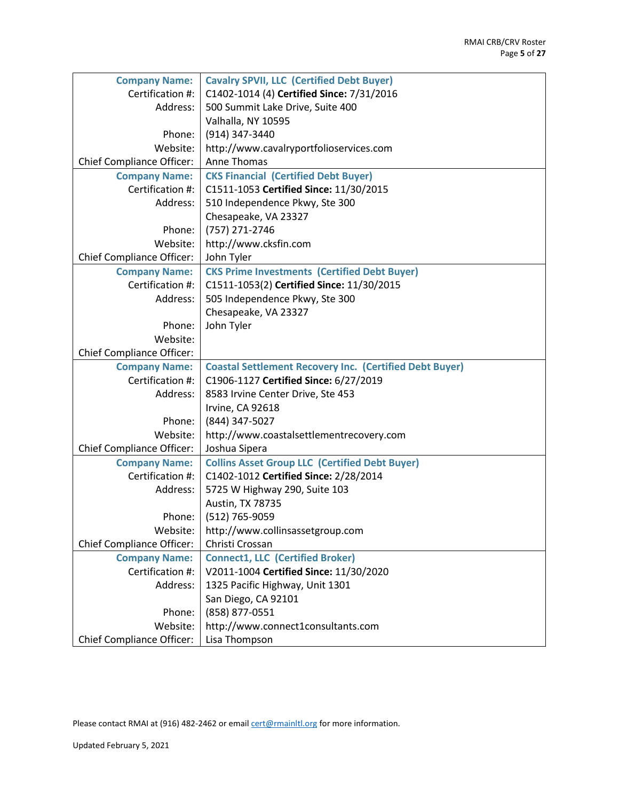| <b>Company Name:</b>             | <b>Cavalry SPVII, LLC (Certified Debt Buyer)</b>               |
|----------------------------------|----------------------------------------------------------------|
| Certification #:                 | C1402-1014 (4) Certified Since: 7/31/2016                      |
| Address:                         | 500 Summit Lake Drive, Suite 400                               |
|                                  | Valhalla, NY 10595                                             |
| Phone:                           | (914) 347-3440                                                 |
| Website:                         | http://www.cavalryportfolioservices.com                        |
| <b>Chief Compliance Officer:</b> | Anne Thomas                                                    |
| <b>Company Name:</b>             | <b>CKS Financial (Certified Debt Buyer)</b>                    |
| Certification #:                 | C1511-1053 Certified Since: 11/30/2015                         |
| Address:                         | 510 Independence Pkwy, Ste 300                                 |
|                                  | Chesapeake, VA 23327                                           |
| Phone:                           | (757) 271-2746                                                 |
| Website:                         | http://www.cksfin.com                                          |
| <b>Chief Compliance Officer:</b> | John Tyler                                                     |
| <b>Company Name:</b>             | <b>CKS Prime Investments (Certified Debt Buyer)</b>            |
| Certification #:                 | C1511-1053(2) Certified Since: 11/30/2015                      |
| Address:                         | 505 Independence Pkwy, Ste 300                                 |
|                                  | Chesapeake, VA 23327                                           |
| Phone:                           | John Tyler                                                     |
| Website:                         |                                                                |
| <b>Chief Compliance Officer:</b> |                                                                |
| <b>Company Name:</b>             | <b>Coastal Settlement Recovery Inc. (Certified Debt Buyer)</b> |
| Certification #:                 | C1906-1127 Certified Since: 6/27/2019                          |
| Address:                         | 8583 Irvine Center Drive, Ste 453                              |
|                                  | Irvine, CA 92618                                               |
| Phone:                           | (844) 347-5027                                                 |
| Website:                         | http://www.coastalsettlementrecovery.com                       |
| <b>Chief Compliance Officer:</b> | Joshua Sipera                                                  |
| <b>Company Name:</b>             | <b>Collins Asset Group LLC (Certified Debt Buyer)</b>          |
| Certification #:                 | C1402-1012 Certified Since: 2/28/2014                          |
| Address:                         | 5725 W Highway 290, Suite 103                                  |
|                                  | Austin, TX 78735                                               |
| Phone:                           | (512) 765-9059                                                 |
| Website:                         | http://www.collinsassetgroup.com                               |
| <b>Chief Compliance Officer:</b> | Christi Crossan                                                |
| <b>Company Name:</b>             | <b>Connect1, LLC (Certified Broker)</b>                        |
| Certification #:                 | V2011-1004 Certified Since: 11/30/2020                         |
| Address:                         | 1325 Pacific Highway, Unit 1301                                |
|                                  | San Diego, CA 92101                                            |
| Phone:                           | (858) 877-0551                                                 |
| Website:                         | http://www.connect1consultants.com                             |
| <b>Chief Compliance Officer:</b> | Lisa Thompson                                                  |
|                                  |                                                                |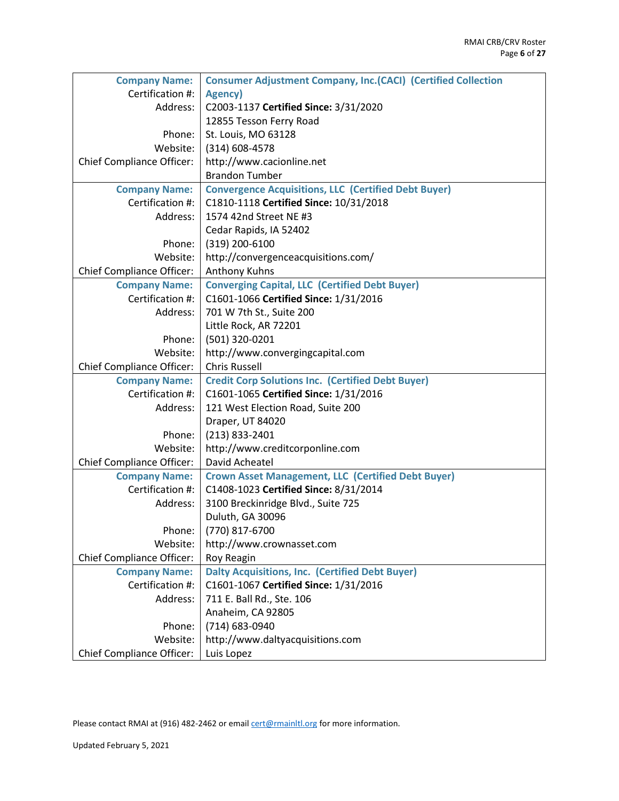| <b>Company Name:</b>             | <b>Consumer Adjustment Company, Inc. (CACI) (Certified Collection</b> |
|----------------------------------|-----------------------------------------------------------------------|
| Certification #:                 | Agency)                                                               |
| Address:                         | C2003-1137 Certified Since: 3/31/2020                                 |
|                                  | 12855 Tesson Ferry Road                                               |
| Phone:                           | St. Louis, MO 63128                                                   |
| Website:                         | (314) 608-4578                                                        |
| <b>Chief Compliance Officer:</b> | http://www.cacionline.net                                             |
|                                  | <b>Brandon Tumber</b>                                                 |
| <b>Company Name:</b>             | <b>Convergence Acquisitions, LLC (Certified Debt Buyer)</b>           |
| Certification #:                 | C1810-1118 Certified Since: 10/31/2018                                |
| Address:                         | 1574 42nd Street NE #3                                                |
|                                  | Cedar Rapids, IA 52402                                                |
| Phone:                           | (319) 200-6100                                                        |
| Website:                         | http://convergenceacquisitions.com/                                   |
| <b>Chief Compliance Officer:</b> | <b>Anthony Kuhns</b>                                                  |
| <b>Company Name:</b>             | <b>Converging Capital, LLC (Certified Debt Buyer)</b>                 |
| Certification #:                 | C1601-1066 Certified Since: 1/31/2016                                 |
| Address:                         | 701 W 7th St., Suite 200                                              |
|                                  | Little Rock, AR 72201                                                 |
| Phone:                           | (501) 320-0201                                                        |
| Website:                         | http://www.convergingcapital.com                                      |
| <b>Chief Compliance Officer:</b> | <b>Chris Russell</b>                                                  |
| <b>Company Name:</b>             | <b>Credit Corp Solutions Inc. (Certified Debt Buyer)</b>              |
| Certification #:                 | C1601-1065 Certified Since: 1/31/2016                                 |
| Address:                         | 121 West Election Road, Suite 200                                     |
|                                  | Draper, UT 84020                                                      |
| Phone:                           | $(213) 833 - 2401$                                                    |
| Website:                         | http://www.creditcorponline.com                                       |
| <b>Chief Compliance Officer:</b> | David Acheatel                                                        |
| <b>Company Name:</b>             | <b>Crown Asset Management, LLC (Certified Debt Buyer)</b>             |
| Certification #:                 | C1408-1023 Certified Since: 8/31/2014                                 |
| Address:                         | 3100 Breckinridge Blvd., Suite 725                                    |
|                                  | Duluth, GA 30096                                                      |
| Phone:                           | (770) 817-6700                                                        |
| Website:                         | http://www.crownasset.com                                             |
| <b>Chief Compliance Officer:</b> | Roy Reagin                                                            |
| <b>Company Name:</b>             | <b>Dalty Acquisitions, Inc. (Certified Debt Buyer)</b>                |
| Certification #:                 | C1601-1067 Certified Since: 1/31/2016                                 |
| Address:                         | 711 E. Ball Rd., Ste. 106                                             |
|                                  | Anaheim, CA 92805                                                     |
| Phone:                           | (714) 683-0940                                                        |
| Website:                         | http://www.daltyacquisitions.com                                      |
| <b>Chief Compliance Officer:</b> | Luis Lopez                                                            |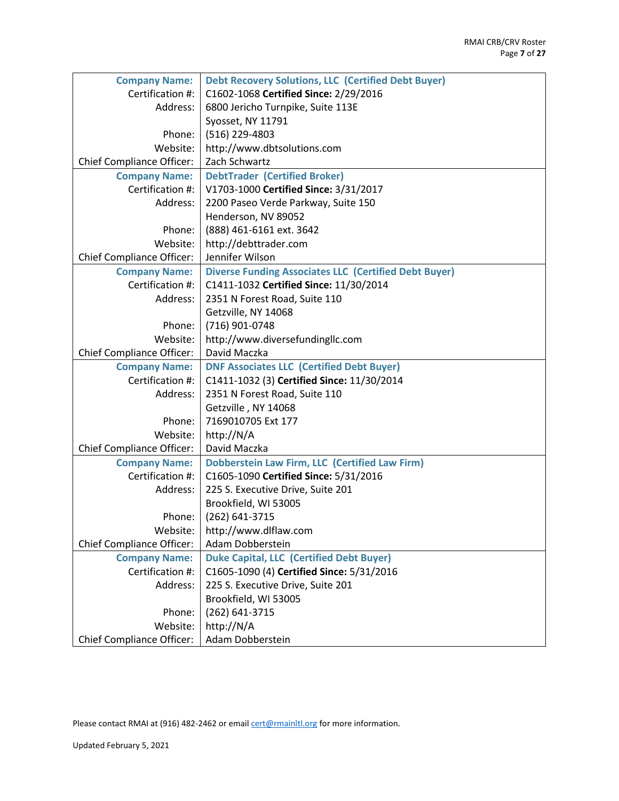| <b>Company Name:</b>             | <b>Debt Recovery Solutions, LLC (Certified Debt Buyer)</b>   |
|----------------------------------|--------------------------------------------------------------|
| Certification #:                 | C1602-1068 Certified Since: 2/29/2016                        |
| Address:                         | 6800 Jericho Turnpike, Suite 113E                            |
|                                  | Syosset, NY 11791                                            |
| Phone:                           | (516) 229-4803                                               |
| Website:                         | http://www.dbtsolutions.com                                  |
| <b>Chief Compliance Officer:</b> | Zach Schwartz                                                |
| <b>Company Name:</b>             | <b>DebtTrader (Certified Broker)</b>                         |
| Certification #:                 | V1703-1000 Certified Since: 3/31/2017                        |
| Address:                         | 2200 Paseo Verde Parkway, Suite 150                          |
|                                  | Henderson, NV 89052                                          |
| Phone:                           | (888) 461-6161 ext. 3642                                     |
| Website:                         | http://debttrader.com                                        |
| <b>Chief Compliance Officer:</b> | Jennifer Wilson                                              |
| <b>Company Name:</b>             | <b>Diverse Funding Associates LLC (Certified Debt Buyer)</b> |
| Certification #:                 | C1411-1032 Certified Since: 11/30/2014                       |
| Address:                         | 2351 N Forest Road, Suite 110                                |
|                                  | Getzville, NY 14068                                          |
| Phone:                           | (716) 901-0748                                               |
| Website:                         | http://www.diversefundingllc.com                             |
| <b>Chief Compliance Officer:</b> | David Maczka                                                 |
| <b>Company Name:</b>             | <b>DNF Associates LLC (Certified Debt Buyer)</b>             |
| Certification #:                 | C1411-1032 (3) Certified Since: 11/30/2014                   |
| Address:                         | 2351 N Forest Road, Suite 110                                |
|                                  | Getzville, NY 14068                                          |
| Phone:                           | 7169010705 Ext 177                                           |
| Website:                         | http://N/A                                                   |
| <b>Chief Compliance Officer:</b> | David Maczka                                                 |
| <b>Company Name:</b>             | Dobberstein Law Firm, LLC (Certified Law Firm)               |
| Certification #:                 | C1605-1090 Certified Since: 5/31/2016                        |
| Address:                         | 225 S. Executive Drive, Suite 201                            |
|                                  | Brookfield, WI 53005                                         |
| Phone:                           | (262) 641-3715                                               |
| Website:                         | http://www.dlflaw.com                                        |
| <b>Chief Compliance Officer:</b> | Adam Dobberstein                                             |
| <b>Company Name:</b>             | <b>Duke Capital, LLC (Certified Debt Buyer)</b>              |
| Certification #:                 | C1605-1090 (4) Certified Since: 5/31/2016                    |
| Address:                         | 225 S. Executive Drive, Suite 201                            |
|                                  | Brookfield, WI 53005                                         |
| Phone:                           | (262) 641-3715                                               |
| Website:                         | http://N/A                                                   |
| <b>Chief Compliance Officer:</b> | Adam Dobberstein                                             |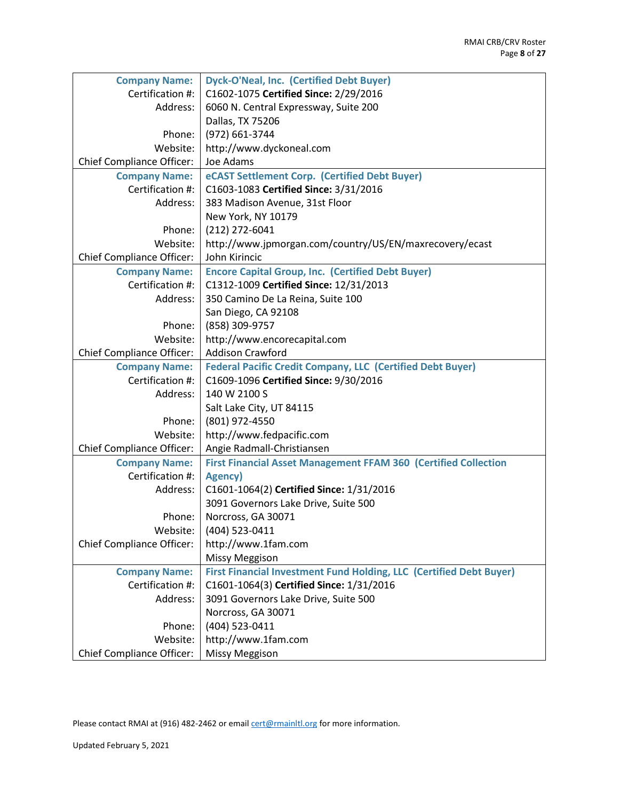| <b>Company Name:</b>             | Dyck-O'Neal, Inc. (Certified Debt Buyer)                            |
|----------------------------------|---------------------------------------------------------------------|
| Certification #:                 | C1602-1075 Certified Since: 2/29/2016                               |
| Address:                         | 6060 N. Central Expressway, Suite 200                               |
|                                  | Dallas, TX 75206                                                    |
| Phone:                           | (972) 661-3744                                                      |
| Website:                         | http://www.dyckoneal.com                                            |
| <b>Chief Compliance Officer:</b> | Joe Adams                                                           |
| <b>Company Name:</b>             | eCAST Settlement Corp. (Certified Debt Buyer)                       |
| Certification #:                 | C1603-1083 Certified Since: 3/31/2016                               |
| Address:                         | 383 Madison Avenue, 31st Floor                                      |
|                                  | New York, NY 10179                                                  |
| Phone:                           | $(212)$ 272-6041                                                    |
| Website:                         | http://www.jpmorgan.com/country/US/EN/maxrecovery/ecast             |
| <b>Chief Compliance Officer:</b> | John Kirincic                                                       |
| <b>Company Name:</b>             | <b>Encore Capital Group, Inc. (Certified Debt Buyer)</b>            |
| Certification #:                 | C1312-1009 Certified Since: 12/31/2013                              |
| Address:                         | 350 Camino De La Reina, Suite 100                                   |
|                                  | San Diego, CA 92108                                                 |
| Phone:                           | (858) 309-9757                                                      |
| Website:                         | http://www.encorecapital.com                                        |
| <b>Chief Compliance Officer:</b> | <b>Addison Crawford</b>                                             |
| <b>Company Name:</b>             | <b>Federal Pacific Credit Company, LLC (Certified Debt Buyer)</b>   |
| Certification #:                 | C1609-1096 Certified Since: 9/30/2016                               |
| Address:                         | 140 W 2100 S                                                        |
|                                  | Salt Lake City, UT 84115                                            |
| Phone:                           | (801) 972-4550                                                      |
| Website:                         | http://www.fedpacific.com                                           |
| <b>Chief Compliance Officer:</b> | Angie Radmall-Christiansen                                          |
| <b>Company Name:</b>             | First Financial Asset Management FFAM 360 (Certified Collection     |
| Certification #:                 | <b>Agency)</b>                                                      |
| Address:                         | C1601-1064(2) Certified Since: 1/31/2016                            |
|                                  | 3091 Governors Lake Drive, Suite 500                                |
| Phone:                           | Norcross, GA 30071                                                  |
| Website:                         | (404) 523-0411                                                      |
| <b>Chief Compliance Officer:</b> | http://www.1fam.com                                                 |
|                                  | <b>Missy Meggison</b>                                               |
| <b>Company Name:</b>             | First Financial Investment Fund Holding, LLC (Certified Debt Buyer) |
| Certification #:                 | C1601-1064(3) Certified Since: 1/31/2016                            |
| Address:                         | 3091 Governors Lake Drive, Suite 500                                |
|                                  | Norcross, GA 30071                                                  |
| Phone:                           | (404) 523-0411                                                      |
| Website:                         | http://www.1fam.com                                                 |
| <b>Chief Compliance Officer:</b> | <b>Missy Meggison</b>                                               |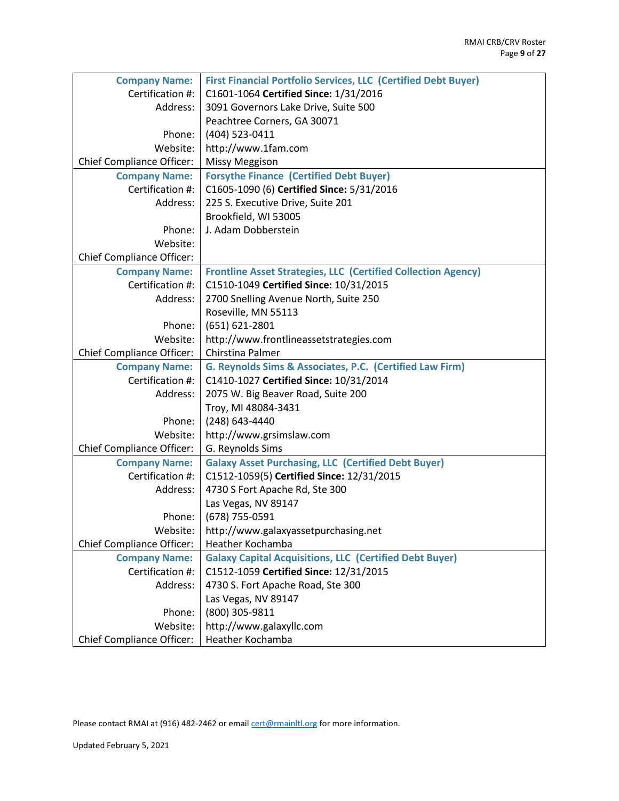| <b>Company Name:</b>             | <b>First Financial Portfolio Services, LLC (Certified Debt Buyer)</b> |
|----------------------------------|-----------------------------------------------------------------------|
| Certification #:                 | C1601-1064 Certified Since: 1/31/2016                                 |
| Address:                         | 3091 Governors Lake Drive, Suite 500                                  |
|                                  | Peachtree Corners, GA 30071                                           |
| Phone:                           | (404) 523-0411                                                        |
| Website:                         | http://www.1fam.com                                                   |
| <b>Chief Compliance Officer:</b> | <b>Missy Meggison</b>                                                 |
| <b>Company Name:</b>             | <b>Forsythe Finance (Certified Debt Buyer)</b>                        |
| Certification #:                 | C1605-1090 (6) Certified Since: 5/31/2016                             |
| Address:                         | 225 S. Executive Drive, Suite 201                                     |
|                                  | Brookfield, WI 53005                                                  |
| Phone:                           | J. Adam Dobberstein                                                   |
| Website:                         |                                                                       |
| <b>Chief Compliance Officer:</b> |                                                                       |
| <b>Company Name:</b>             | <b>Frontline Asset Strategies, LLC (Certified Collection Agency)</b>  |
| Certification #:                 | C1510-1049 Certified Since: 10/31/2015                                |
| Address:                         | 2700 Snelling Avenue North, Suite 250                                 |
|                                  | Roseville, MN 55113                                                   |
| Phone:                           | $(651) 621 - 2801$                                                    |
| Website:                         | http://www.frontlineassetstrategies.com                               |
| <b>Chief Compliance Officer:</b> | Chirstina Palmer                                                      |
| <b>Company Name:</b>             | G. Reynolds Sims & Associates, P.C. (Certified Law Firm)              |
| Certification #:                 | C1410-1027 Certified Since: 10/31/2014                                |
| Address:                         | 2075 W. Big Beaver Road, Suite 200                                    |
|                                  | Troy, MI 48084-3431                                                   |
| Phone:                           | (248) 643-4440                                                        |
| Website:                         | http://www.grsimslaw.com                                              |
| <b>Chief Compliance Officer:</b> | G. Reynolds Sims                                                      |
| <b>Company Name:</b>             | <b>Galaxy Asset Purchasing, LLC (Certified Debt Buyer)</b>            |
| Certification #:                 | C1512-1059(5) Certified Since: 12/31/2015                             |
| Address:                         | 4730 S Fort Apache Rd, Ste 300                                        |
|                                  | Las Vegas, NV 89147                                                   |
| Phone:                           | (678) 755-0591                                                        |
| Website:                         | http://www.galaxyassetpurchasing.net                                  |
| <b>Chief Compliance Officer:</b> | Heather Kochamba                                                      |
| <b>Company Name:</b>             | <b>Galaxy Capital Acquisitions, LLC (Certified Debt Buyer)</b>        |
| Certification #:                 | C1512-1059 Certified Since: 12/31/2015                                |
| Address:                         | 4730 S. Fort Apache Road, Ste 300                                     |
|                                  | Las Vegas, NV 89147                                                   |
| Phone:                           | (800) 305-9811                                                        |
| Website:                         | http://www.galaxyllc.com                                              |
| <b>Chief Compliance Officer:</b> | Heather Kochamba                                                      |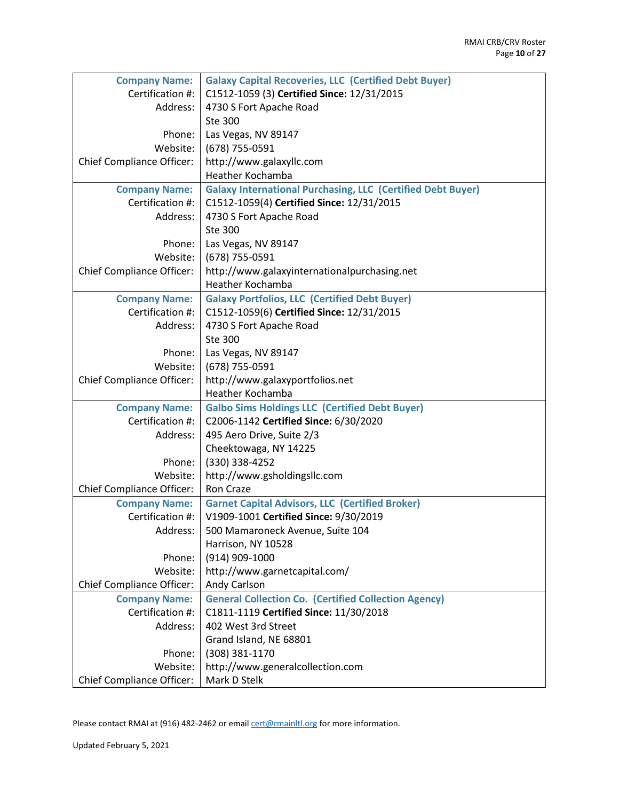| <b>Company Name:</b>                     | <b>Galaxy Capital Recoveries, LLC (Certified Debt Buyer)</b>       |
|------------------------------------------|--------------------------------------------------------------------|
| Certification #:                         | C1512-1059 (3) Certified Since: 12/31/2015                         |
| Address:                                 | 4730 S Fort Apache Road                                            |
|                                          | Ste 300                                                            |
| Phone:                                   | Las Vegas, NV 89147                                                |
| Website:                                 | (678) 755-0591                                                     |
| <b>Chief Compliance Officer:</b>         | http://www.galaxyllc.com                                           |
|                                          | Heather Kochamba                                                   |
| <b>Company Name:</b>                     | <b>Galaxy International Purchasing, LLC (Certified Debt Buyer)</b> |
| Certification #:                         | C1512-1059(4) Certified Since: 12/31/2015                          |
| Address:                                 | 4730 S Fort Apache Road                                            |
|                                          | Ste 300                                                            |
| Phone:                                   | Las Vegas, NV 89147                                                |
| Website:                                 | (678) 755-0591                                                     |
| <b>Chief Compliance Officer:</b>         | http://www.galaxyinternationalpurchasing.net                       |
|                                          | Heather Kochamba                                                   |
| <b>Company Name:</b>                     | <b>Galaxy Portfolios, LLC (Certified Debt Buyer)</b>               |
| Certification #:                         | C1512-1059(6) Certified Since: 12/31/2015                          |
| Address:                                 | 4730 S Fort Apache Road                                            |
|                                          | Ste 300                                                            |
| Phone:                                   | Las Vegas, NV 89147                                                |
| Website:                                 | (678) 755-0591                                                     |
| <b>Chief Compliance Officer:</b>         | http://www.galaxyportfolios.net                                    |
|                                          | Heather Kochamba                                                   |
| <b>Company Name:</b>                     | <b>Galbo Sims Holdings LLC (Certified Debt Buyer)</b>              |
| Certification #:                         | C2006-1142 Certified Since: 6/30/2020                              |
| Address:                                 | 495 Aero Drive, Suite 2/3                                          |
|                                          | Cheektowaga, NY 14225                                              |
| Phone:                                   | (330) 338-4252                                                     |
| Website:                                 | http://www.gsholdingsllc.com                                       |
| <b>Chief Compliance Officer:</b>         | Ron Craze                                                          |
| <b>Company Name:</b><br>Certification #: | <b>Garnet Capital Advisors, LLC (Certified Broker)</b>             |
|                                          | V1909-1001 Certified Since: 9/30/2019                              |
| Address:                                 | 500 Mamaroneck Avenue, Suite 104                                   |
| Phone:                                   | Harrison, NY 10528                                                 |
| Website:                                 | $(914)$ 909-1000<br>http://www.garnetcapital.com/                  |
| <b>Chief Compliance Officer:</b>         | Andy Carlson                                                       |
| <b>Company Name:</b>                     | <b>General Collection Co. (Certified Collection Agency)</b>        |
| Certification #:                         | C1811-1119 Certified Since: 11/30/2018                             |
| Address:                                 | 402 West 3rd Street                                                |
|                                          | Grand Island, NE 68801                                             |
| Phone:                                   | (308) 381-1170                                                     |
| Website:                                 | http://www.generalcollection.com                                   |
| <b>Chief Compliance Officer:</b>         | Mark D Stelk                                                       |
|                                          |                                                                    |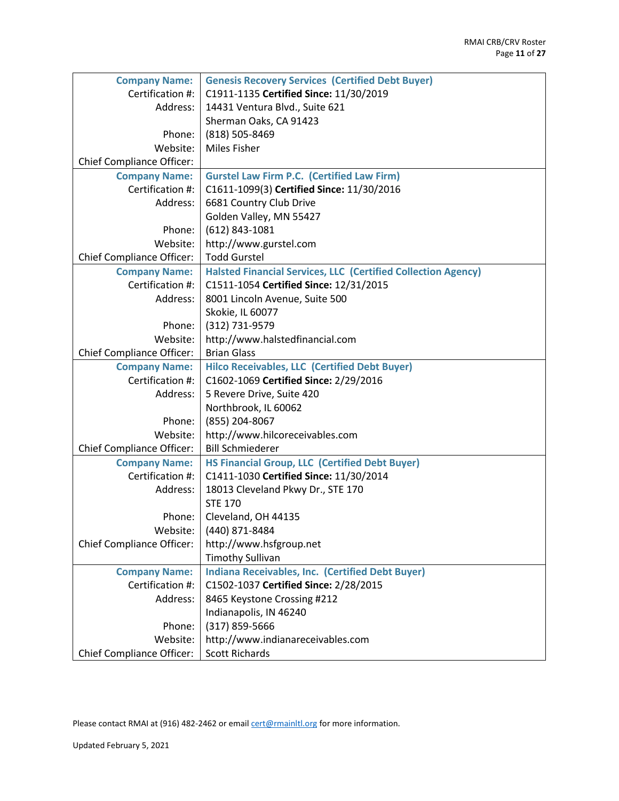| <b>Company Name:</b>             | <b>Genesis Recovery Services (Certified Debt Buyer)</b>              |
|----------------------------------|----------------------------------------------------------------------|
| Certification #:                 | C1911-1135 Certified Since: 11/30/2019                               |
| Address:                         | 14431 Ventura Blvd., Suite 621                                       |
|                                  | Sherman Oaks, CA 91423                                               |
| Phone:                           | (818) 505-8469                                                       |
| Website:                         | Miles Fisher                                                         |
| <b>Chief Compliance Officer:</b> |                                                                      |
| <b>Company Name:</b>             | <b>Gurstel Law Firm P.C. (Certified Law Firm)</b>                    |
| Certification #:                 | C1611-1099(3) Certified Since: 11/30/2016                            |
| Address:                         | 6681 Country Club Drive                                              |
|                                  | Golden Valley, MN 55427                                              |
| Phone:                           | $(612) 843 - 1081$                                                   |
| Website:                         | http://www.gurstel.com                                               |
| <b>Chief Compliance Officer:</b> | <b>Todd Gurstel</b>                                                  |
| <b>Company Name:</b>             | <b>Halsted Financial Services, LLC (Certified Collection Agency)</b> |
| Certification #:                 | C1511-1054 Certified Since: 12/31/2015                               |
| Address:                         | 8001 Lincoln Avenue, Suite 500                                       |
|                                  | Skokie, IL 60077                                                     |
| Phone:                           | (312) 731-9579                                                       |
| Website:                         | http://www.halstedfinancial.com                                      |
| <b>Chief Compliance Officer:</b> | <b>Brian Glass</b>                                                   |
| <b>Company Name:</b>             | <b>Hilco Receivables, LLC (Certified Debt Buyer)</b>                 |
| Certification #:                 | C1602-1069 Certified Since: 2/29/2016                                |
| Address:                         | 5 Revere Drive, Suite 420                                            |
|                                  | Northbrook, IL 60062                                                 |
| Phone:                           | (855) 204-8067                                                       |
| Website:                         | http://www.hilcoreceivables.com                                      |
| <b>Chief Compliance Officer:</b> | <b>Bill Schmiederer</b>                                              |
| <b>Company Name:</b>             | <b>HS Financial Group, LLC (Certified Debt Buyer)</b>                |
| Certification #:                 | C1411-1030 Certified Since: 11/30/2014                               |
| Address:                         | 18013 Cleveland Pkwy Dr., STE 170                                    |
|                                  | <b>STE 170</b>                                                       |
| Phone:                           | Cleveland, OH 44135                                                  |
| Website:                         | (440) 871-8484                                                       |
| <b>Chief Compliance Officer:</b> | http://www.hsfgroup.net                                              |
|                                  | <b>Timothy Sullivan</b>                                              |
| <b>Company Name:</b>             | <b>Indiana Receivables, Inc. (Certified Debt Buyer)</b>              |
| Certification #:                 | C1502-1037 Certified Since: 2/28/2015                                |
| Address:                         | 8465 Keystone Crossing #212                                          |
|                                  | Indianapolis, IN 46240                                               |
| Phone:                           | (317) 859-5666                                                       |
| Website:                         | http://www.indianareceivables.com                                    |
| <b>Chief Compliance Officer:</b> | <b>Scott Richards</b>                                                |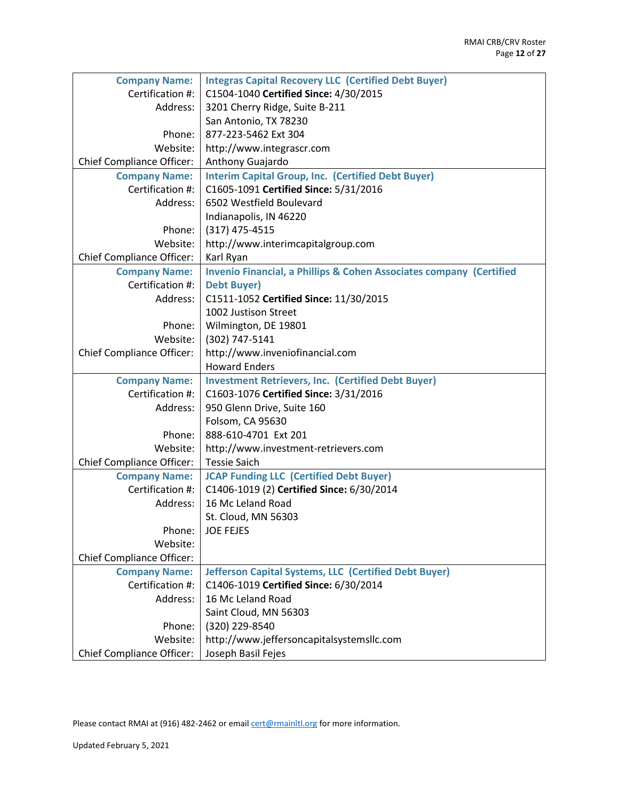| <b>Company Name:</b>             | <b>Integras Capital Recovery LLC (Certified Debt Buyer)</b>                    |
|----------------------------------|--------------------------------------------------------------------------------|
| Certification #:                 | C1504-1040 Certified Since: 4/30/2015                                          |
| Address:                         | 3201 Cherry Ridge, Suite B-211                                                 |
|                                  | San Antonio, TX 78230                                                          |
| Phone:                           | 877-223-5462 Ext 304                                                           |
| Website:                         | http://www.integrascr.com                                                      |
| <b>Chief Compliance Officer:</b> | Anthony Guajardo                                                               |
| <b>Company Name:</b>             | <b>Interim Capital Group, Inc. (Certified Debt Buyer)</b>                      |
| Certification #:                 | C1605-1091 Certified Since: 5/31/2016                                          |
| Address:                         | 6502 Westfield Boulevard                                                       |
|                                  | Indianapolis, IN 46220                                                         |
| Phone:                           | $(317)$ 475-4515                                                               |
| Website:                         | http://www.interimcapitalgroup.com                                             |
| <b>Chief Compliance Officer:</b> | Karl Ryan                                                                      |
| <b>Company Name:</b>             | <b>Invenio Financial, a Phillips &amp; Cohen Associates company (Certified</b> |
| Certification #:                 | <b>Debt Buyer)</b>                                                             |
| Address:                         | C1511-1052 Certified Since: 11/30/2015                                         |
|                                  | 1002 Justison Street                                                           |
| Phone:                           | Wilmington, DE 19801                                                           |
| Website:                         | (302) 747-5141                                                                 |
| <b>Chief Compliance Officer:</b> | http://www.inveniofinancial.com                                                |
|                                  | <b>Howard Enders</b>                                                           |
| <b>Company Name:</b>             | <b>Investment Retrievers, Inc. (Certified Debt Buyer)</b>                      |
| Certification #:                 | C1603-1076 Certified Since: 3/31/2016                                          |
| Address:                         | 950 Glenn Drive, Suite 160                                                     |
|                                  | Folsom, CA 95630                                                               |
| Phone:                           | 888-610-4701 Ext 201                                                           |
| Website:                         | http://www.investment-retrievers.com                                           |
| <b>Chief Compliance Officer:</b> | <b>Tessie Saich</b>                                                            |
| <b>Company Name:</b>             | <b>JCAP Funding LLC (Certified Debt Buyer)</b>                                 |
| Certification #:                 | C1406-1019 (2) Certified Since: 6/30/2014                                      |
| Address:                         | 16 Mc Leland Road                                                              |
|                                  | St. Cloud, MN 56303                                                            |
| Phone:                           | <b>JOE FEJES</b>                                                               |
| Website:                         |                                                                                |
| <b>Chief Compliance Officer:</b> |                                                                                |
| <b>Company Name:</b>             | Jefferson Capital Systems, LLC (Certified Debt Buyer)                          |
| Certification #:                 | C1406-1019 Certified Since: 6/30/2014                                          |
| Address:                         | 16 Mc Leland Road                                                              |
|                                  | Saint Cloud, MN 56303                                                          |
| Phone:                           | (320) 229-8540                                                                 |
| Website:                         | http://www.jeffersoncapitalsystemsllc.com                                      |
| <b>Chief Compliance Officer:</b> | Joseph Basil Fejes                                                             |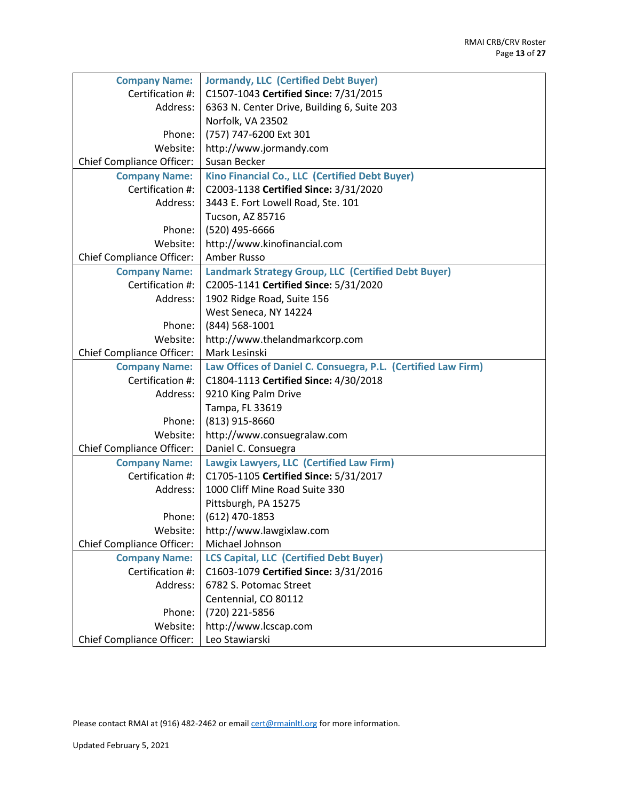| <b>Company Name:</b>             | <b>Jormandy, LLC (Certified Debt Buyer)</b>                   |
|----------------------------------|---------------------------------------------------------------|
| Certification #:                 | C1507-1043 Certified Since: 7/31/2015                         |
| Address:                         | 6363 N. Center Drive, Building 6, Suite 203                   |
|                                  | Norfolk, VA 23502                                             |
| Phone:                           | (757) 747-6200 Ext 301                                        |
| Website:                         | http://www.jormandy.com                                       |
| <b>Chief Compliance Officer:</b> | Susan Becker                                                  |
| <b>Company Name:</b>             | Kino Financial Co., LLC (Certified Debt Buyer)                |
| Certification #:                 | C2003-1138 Certified Since: 3/31/2020                         |
| Address:                         | 3443 E. Fort Lowell Road, Ste. 101                            |
|                                  | Tucson, AZ 85716                                              |
| Phone:                           | (520) 495-6666                                                |
| Website:                         | http://www.kinofinancial.com                                  |
| <b>Chief Compliance Officer:</b> | Amber Russo                                                   |
| <b>Company Name:</b>             | Landmark Strategy Group, LLC (Certified Debt Buyer)           |
| Certification #:                 | C2005-1141 Certified Since: 5/31/2020                         |
| Address:                         | 1902 Ridge Road, Suite 156                                    |
|                                  | West Seneca, NY 14224                                         |
| Phone:                           | (844) 568-1001                                                |
| Website:                         | http://www.thelandmarkcorp.com                                |
| <b>Chief Compliance Officer:</b> | Mark Lesinski                                                 |
| <b>Company Name:</b>             | Law Offices of Daniel C. Consuegra, P.L. (Certified Law Firm) |
| Certification #:                 | C1804-1113 Certified Since: 4/30/2018                         |
| Address:                         | 9210 King Palm Drive                                          |
|                                  | Tampa, FL 33619                                               |
| Phone:                           | (813) 915-8660                                                |
| Website:                         | http://www.consuegralaw.com                                   |
| <b>Chief Compliance Officer:</b> | Daniel C. Consuegra                                           |
| <b>Company Name:</b>             | Lawgix Lawyers, LLC (Certified Law Firm)                      |
| Certification #:                 | C1705-1105 Certified Since: 5/31/2017                         |
| Address:                         | 1000 Cliff Mine Road Suite 330                                |
|                                  | Pittsburgh, PA 15275                                          |
| Phone:                           | (612) 470-1853                                                |
| Website:                         | http://www.lawgixlaw.com                                      |
| <b>Chief Compliance Officer:</b> | Michael Johnson                                               |
| <b>Company Name:</b>             | <b>LCS Capital, LLC (Certified Debt Buyer)</b>                |
| Certification #:                 | C1603-1079 Certified Since: 3/31/2016                         |
| Address:                         | 6782 S. Potomac Street                                        |
|                                  | Centennial, CO 80112                                          |
| Phone:                           | (720) 221-5856                                                |
| Website:                         | http://www.lcscap.com                                         |
| <b>Chief Compliance Officer:</b> | Leo Stawiarski                                                |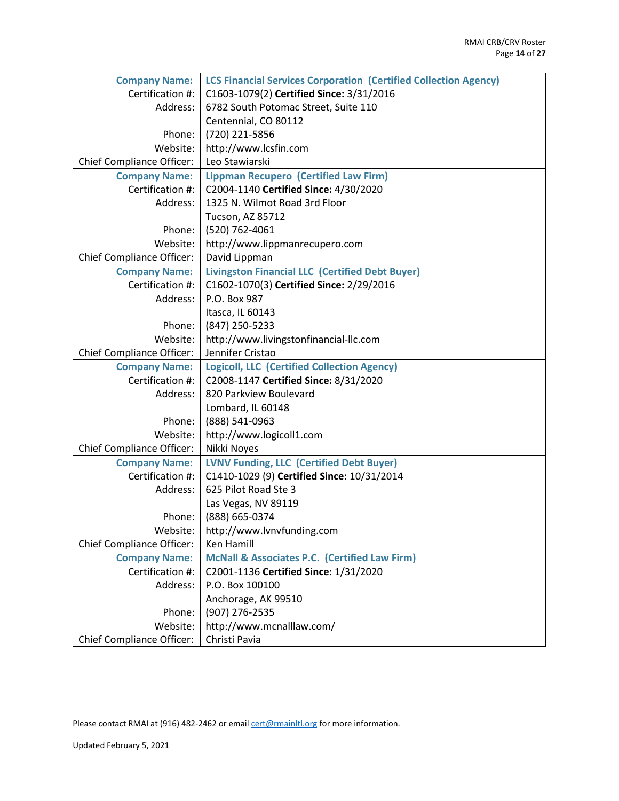| <b>Company Name:</b>             | <b>LCS Financial Services Corporation (Certified Collection Agency)</b> |
|----------------------------------|-------------------------------------------------------------------------|
| Certification #:                 | C1603-1079(2) Certified Since: 3/31/2016                                |
| Address:                         | 6782 South Potomac Street, Suite 110                                    |
|                                  | Centennial, CO 80112                                                    |
| Phone:                           | (720) 221-5856                                                          |
| Website:                         | http://www.lcsfin.com                                                   |
| <b>Chief Compliance Officer:</b> | Leo Stawiarski                                                          |
| <b>Company Name:</b>             | <b>Lippman Recupero (Certified Law Firm)</b>                            |
| Certification #:                 | C2004-1140 Certified Since: 4/30/2020                                   |
| Address:                         | 1325 N. Wilmot Road 3rd Floor                                           |
|                                  | Tucson, AZ 85712                                                        |
| Phone:                           | (520) 762-4061                                                          |
| Website:                         | http://www.lippmanrecupero.com                                          |
| <b>Chief Compliance Officer:</b> | David Lippman                                                           |
| <b>Company Name:</b>             | <b>Livingston Financial LLC (Certified Debt Buyer)</b>                  |
| Certification #:                 | C1602-1070(3) Certified Since: 2/29/2016                                |
| Address:                         | P.O. Box 987                                                            |
|                                  | Itasca, IL 60143                                                        |
| Phone:                           | (847) 250-5233                                                          |
| Website:                         | http://www.livingstonfinancial-llc.com                                  |
| <b>Chief Compliance Officer:</b> | Jennifer Cristao                                                        |
| <b>Company Name:</b>             | <b>Logicoll, LLC (Certified Collection Agency)</b>                      |
| Certification #:                 | C2008-1147 Certified Since: 8/31/2020                                   |
| Address:                         | 820 Parkview Boulevard                                                  |
|                                  | Lombard, IL 60148                                                       |
| Phone:                           | (888) 541-0963                                                          |
| Website:                         | http://www.logicoll1.com                                                |
| <b>Chief Compliance Officer:</b> | Nikki Noyes                                                             |
| <b>Company Name:</b>             | LVNV Funding, LLC (Certified Debt Buyer)                                |
| Certification #:                 | C1410-1029 (9) Certified Since: 10/31/2014                              |
| Address:                         | 625 Pilot Road Ste 3                                                    |
|                                  | Las Vegas, NV 89119                                                     |
| Phone:                           | (888) 665-0374                                                          |
| Website:                         | http://www.lvnvfunding.com                                              |
| <b>Chief Compliance Officer:</b> | Ken Hamill                                                              |
| <b>Company Name:</b>             | <b>McNall &amp; Associates P.C. (Certified Law Firm)</b>                |
| Certification #:                 | C2001-1136 Certified Since: 1/31/2020                                   |
| Address:                         | P.O. Box 100100                                                         |
|                                  | Anchorage, AK 99510                                                     |
| Phone:                           | (907) 276-2535                                                          |
| Website:                         | http://www.mcnalllaw.com/                                               |
| <b>Chief Compliance Officer:</b> | Christi Pavia                                                           |
|                                  |                                                                         |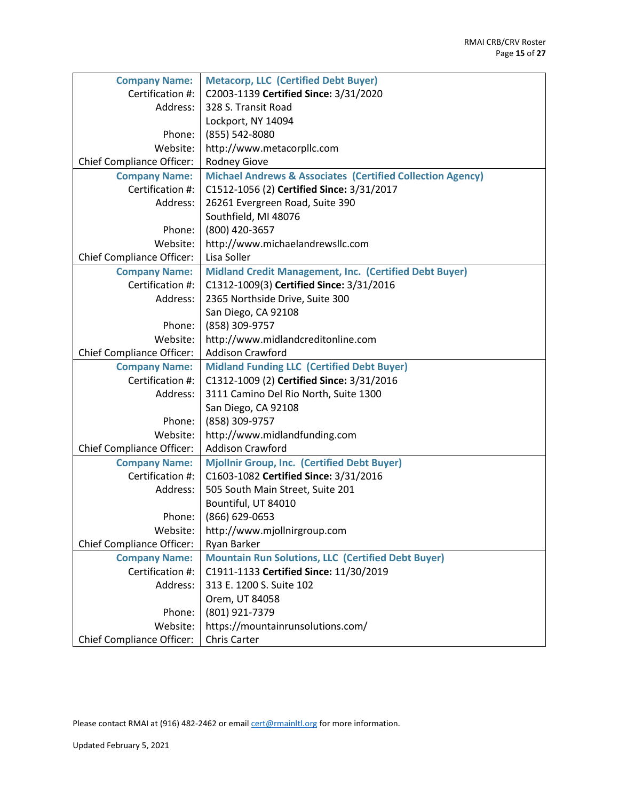| <b>Company Name:</b>             | <b>Metacorp, LLC (Certified Debt Buyer)</b>                           |
|----------------------------------|-----------------------------------------------------------------------|
| Certification #:                 | C2003-1139 Certified Since: 3/31/2020                                 |
| Address:                         | 328 S. Transit Road                                                   |
|                                  | Lockport, NY 14094                                                    |
| Phone:                           | (855) 542-8080                                                        |
| Website:                         | http://www.metacorpllc.com                                            |
| <b>Chief Compliance Officer:</b> | <b>Rodney Giove</b>                                                   |
| <b>Company Name:</b>             | <b>Michael Andrews &amp; Associates (Certified Collection Agency)</b> |
| Certification #:                 | C1512-1056 (2) Certified Since: 3/31/2017                             |
| Address:                         | 26261 Evergreen Road, Suite 390                                       |
|                                  | Southfield, MI 48076                                                  |
| Phone:                           | (800) 420-3657                                                        |
| Website:                         | http://www.michaelandrewsllc.com                                      |
| <b>Chief Compliance Officer:</b> | Lisa Soller                                                           |
|                                  |                                                                       |
| <b>Company Name:</b>             | Midland Credit Management, Inc. (Certified Debt Buyer)                |
| Certification #:                 | C1312-1009(3) Certified Since: 3/31/2016                              |
| Address:                         | 2365 Northside Drive, Suite 300                                       |
|                                  | San Diego, CA 92108                                                   |
| Phone:                           | (858) 309-9757                                                        |
| Website:                         | http://www.midlandcreditonline.com                                    |
| <b>Chief Compliance Officer:</b> | <b>Addison Crawford</b>                                               |
| <b>Company Name:</b>             | <b>Midland Funding LLC (Certified Debt Buyer)</b>                     |
| Certification #:                 | C1312-1009 (2) Certified Since: 3/31/2016                             |
| Address:                         | 3111 Camino Del Rio North, Suite 1300                                 |
|                                  | San Diego, CA 92108                                                   |
| Phone:                           | (858) 309-9757                                                        |
| Website:                         | http://www.midlandfunding.com                                         |
| <b>Chief Compliance Officer:</b> | <b>Addison Crawford</b>                                               |
| <b>Company Name:</b>             | <b>Mjollnir Group, Inc. (Certified Debt Buyer)</b>                    |
| Certification #:                 | C1603-1082 Certified Since: 3/31/2016                                 |
| Address:                         | 505 South Main Street, Suite 201                                      |
|                                  | Bountiful, UT 84010                                                   |
| Phone:                           | (866) 629-0653                                                        |
| Website:                         | http://www.mjollnirgroup.com                                          |
| <b>Chief Compliance Officer:</b> | Ryan Barker                                                           |
| <b>Company Name:</b>             | <b>Mountain Run Solutions, LLC (Certified Debt Buyer)</b>             |
| Certification #:                 | C1911-1133 Certified Since: 11/30/2019                                |
| Address:                         | 313 E. 1200 S. Suite 102                                              |
|                                  | Orem, UT 84058                                                        |
| Phone:                           | (801) 921-7379                                                        |
| Website:                         | https://mountainrunsolutions.com/                                     |
| <b>Chief Compliance Officer:</b> | Chris Carter                                                          |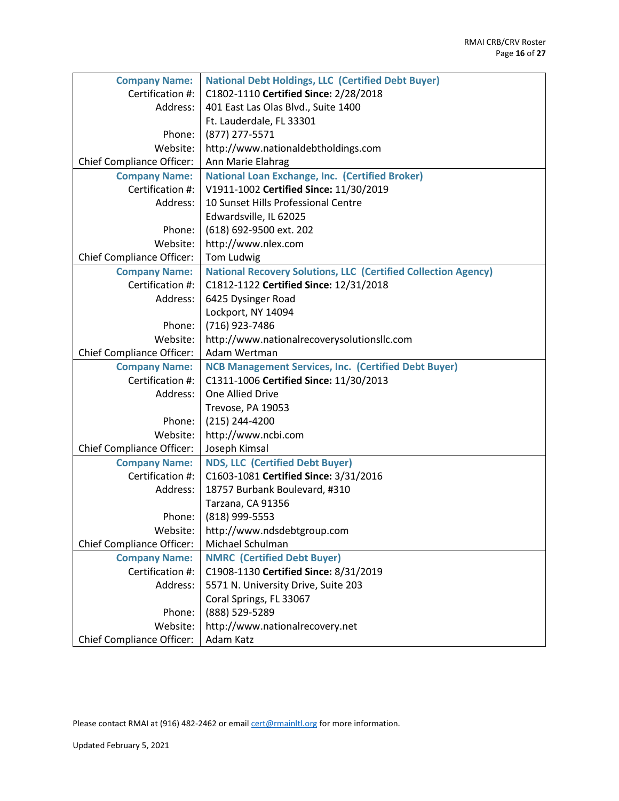| <b>Company Name:</b>             | <b>National Debt Holdings, LLC (Certified Debt Buyer)</b>             |
|----------------------------------|-----------------------------------------------------------------------|
| Certification #:                 | C1802-1110 Certified Since: 2/28/2018                                 |
| Address:                         | 401 East Las Olas Blvd., Suite 1400                                   |
|                                  | Ft. Lauderdale, FL 33301                                              |
| Phone:                           | (877) 277-5571                                                        |
| Website:                         | http://www.nationaldebtholdings.com                                   |
| <b>Chief Compliance Officer:</b> | Ann Marie Elahrag                                                     |
| <b>Company Name:</b>             | <b>National Loan Exchange, Inc. (Certified Broker)</b>                |
| Certification #:                 | V1911-1002 Certified Since: 11/30/2019                                |
| Address:                         | 10 Sunset Hills Professional Centre                                   |
|                                  | Edwardsville, IL 62025                                                |
| Phone:                           | (618) 692-9500 ext. 202                                               |
| Website:                         | http://www.nlex.com                                                   |
| <b>Chief Compliance Officer:</b> | Tom Ludwig                                                            |
| <b>Company Name:</b>             | <b>National Recovery Solutions, LLC (Certified Collection Agency)</b> |
| Certification #:                 | C1812-1122 Certified Since: 12/31/2018                                |
| Address:                         | 6425 Dysinger Road                                                    |
|                                  | Lockport, NY 14094                                                    |
| Phone:                           | (716) 923-7486                                                        |
| Website:                         | http://www.nationalrecoverysolutionsllc.com                           |
| <b>Chief Compliance Officer:</b> | Adam Wertman                                                          |
| <b>Company Name:</b>             | <b>NCB Management Services, Inc. (Certified Debt Buyer)</b>           |
| Certification #:                 | C1311-1006 Certified Since: 11/30/2013                                |
| Address:                         | One Allied Drive                                                      |
|                                  | Trevose, PA 19053                                                     |
| Phone:                           | (215) 244-4200                                                        |
| Website:                         | http://www.ncbi.com                                                   |
| <b>Chief Compliance Officer:</b> | Joseph Kimsal                                                         |
| <b>Company Name:</b>             | <b>NDS, LLC (Certified Debt Buyer)</b>                                |
| Certification #:                 | C1603-1081 Certified Since: 3/31/2016                                 |
| Address:                         | 18757 Burbank Boulevard, #310                                         |
|                                  | Tarzana, CA 91356                                                     |
| Phone:                           | (818) 999-5553                                                        |
| Website:                         | http://www.ndsdebtgroup.com                                           |
| <b>Chief Compliance Officer:</b> | Michael Schulman                                                      |
| <b>Company Name:</b>             | <b>NMRC</b> (Certified Debt Buyer)                                    |
| Certification #:                 | C1908-1130 Certified Since: 8/31/2019                                 |
| Address:                         | 5571 N. University Drive, Suite 203                                   |
|                                  | Coral Springs, FL 33067                                               |
| Phone:                           | (888) 529-5289                                                        |
| Website:                         | http://www.nationalrecovery.net                                       |
| <b>Chief Compliance Officer:</b> | Adam Katz                                                             |
|                                  |                                                                       |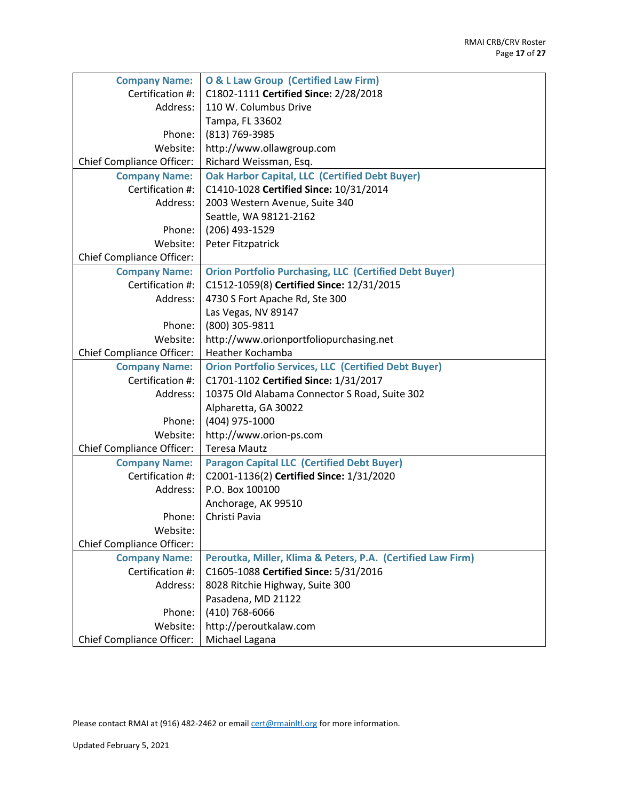| <b>Company Name:</b>             | <b>O &amp; L Law Group (Certified Law Firm)</b>               |
|----------------------------------|---------------------------------------------------------------|
| Certification #:                 | C1802-1111 Certified Since: 2/28/2018                         |
| Address:                         | 110 W. Columbus Drive                                         |
|                                  | Tampa, FL 33602                                               |
| Phone:                           | (813) 769-3985                                                |
| Website:                         | http://www.ollawgroup.com                                     |
| <b>Chief Compliance Officer:</b> | Richard Weissman, Esq.                                        |
| <b>Company Name:</b>             | <b>Oak Harbor Capital, LLC (Certified Debt Buyer)</b>         |
| Certification #:                 | C1410-1028 Certified Since: 10/31/2014                        |
| Address:                         | 2003 Western Avenue, Suite 340                                |
|                                  | Seattle, WA 98121-2162                                        |
| Phone:                           | (206) 493-1529                                                |
| Website:                         | Peter Fitzpatrick                                             |
| <b>Chief Compliance Officer:</b> |                                                               |
| <b>Company Name:</b>             | <b>Orion Portfolio Purchasing, LLC (Certified Debt Buyer)</b> |
| Certification #:                 | C1512-1059(8) Certified Since: 12/31/2015                     |
| Address:                         | 4730 S Fort Apache Rd, Ste 300                                |
|                                  | Las Vegas, NV 89147                                           |
| Phone:                           | (800) 305-9811                                                |
| Website:                         | http://www.orionportfoliopurchasing.net                       |
| <b>Chief Compliance Officer:</b> | Heather Kochamba                                              |
| <b>Company Name:</b>             | <b>Orion Portfolio Services, LLC (Certified Debt Buyer)</b>   |
| Certification #:                 | C1701-1102 Certified Since: 1/31/2017                         |
| Address:                         | 10375 Old Alabama Connector S Road, Suite 302                 |
|                                  | Alpharetta, GA 30022                                          |
| Phone:                           | (404) 975-1000                                                |
| Website:                         | http://www.orion-ps.com                                       |
| <b>Chief Compliance Officer:</b> | <b>Teresa Mautz</b>                                           |
| <b>Company Name:</b>             | <b>Paragon Capital LLC (Certified Debt Buyer)</b>             |
| Certification #:                 | C2001-1136(2) Certified Since: 1/31/2020                      |
| Address:                         | P.O. Box 100100                                               |
|                                  | Anchorage, AK 99510                                           |
| Phone:                           | Christi Pavia                                                 |
| Website:                         |                                                               |
| <b>Chief Compliance Officer:</b> |                                                               |
| <b>Company Name:</b>             | Peroutka, Miller, Klima & Peters, P.A. (Certified Law Firm)   |
| Certification #:                 | C1605-1088 Certified Since: 5/31/2016                         |
| Address:                         | 8028 Ritchie Highway, Suite 300                               |
|                                  | Pasadena, MD 21122                                            |
| Phone:                           | (410) 768-6066                                                |
| Website:                         | http://peroutkalaw.com                                        |
| <b>Chief Compliance Officer:</b> | Michael Lagana                                                |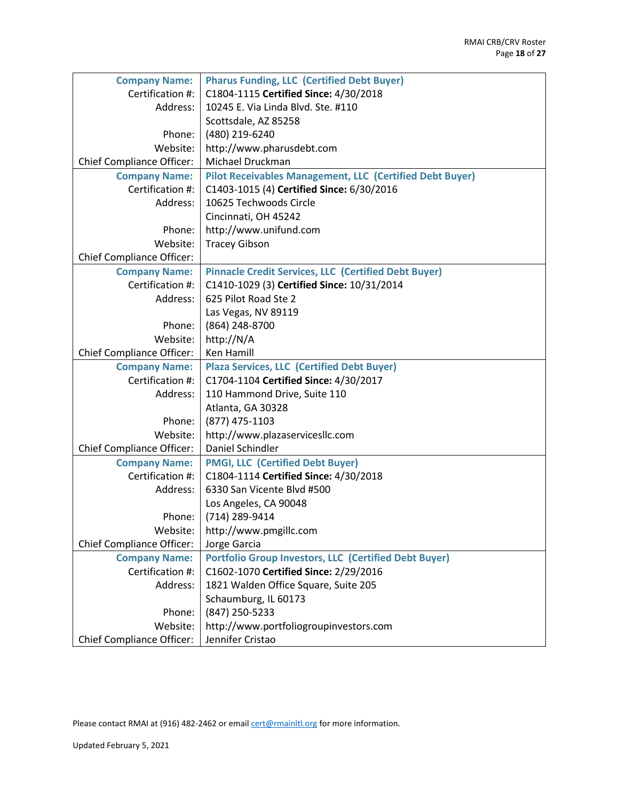| <b>Company Name:</b>             | <b>Pharus Funding, LLC (Certified Debt Buyer)</b>               |
|----------------------------------|-----------------------------------------------------------------|
| Certification #:                 | C1804-1115 Certified Since: 4/30/2018                           |
| Address:                         | 10245 E. Via Linda Blvd. Ste. #110                              |
|                                  | Scottsdale, AZ 85258                                            |
| Phone:                           | (480) 219-6240                                                  |
| Website:                         | http://www.pharusdebt.com                                       |
| <b>Chief Compliance Officer:</b> | Michael Druckman                                                |
| <b>Company Name:</b>             | <b>Pilot Receivables Management, LLC (Certified Debt Buyer)</b> |
| Certification #:                 | C1403-1015 (4) Certified Since: 6/30/2016                       |
| Address:                         | 10625 Techwoods Circle                                          |
|                                  | Cincinnati, OH 45242                                            |
| Phone:                           | http://www.unifund.com                                          |
| Website:                         | <b>Tracey Gibson</b>                                            |
| <b>Chief Compliance Officer:</b> |                                                                 |
| <b>Company Name:</b>             | <b>Pinnacle Credit Services, LLC (Certified Debt Buyer)</b>     |
| Certification #:                 | C1410-1029 (3) Certified Since: 10/31/2014                      |
| Address:                         | 625 Pilot Road Ste 2                                            |
|                                  | Las Vegas, NV 89119                                             |
| Phone:                           | (864) 248-8700                                                  |
| Website:                         | http://N/A                                                      |
| <b>Chief Compliance Officer:</b> | Ken Hamill                                                      |
| <b>Company Name:</b>             | <b>Plaza Services, LLC (Certified Debt Buyer)</b>               |
| Certification #:                 | C1704-1104 Certified Since: 4/30/2017                           |
| Address:                         | 110 Hammond Drive, Suite 110                                    |
|                                  | Atlanta, GA 30328                                               |
| Phone:                           | (877) 475-1103                                                  |
| Website:                         | http://www.plazaservicesllc.com                                 |
| <b>Chief Compliance Officer:</b> | Daniel Schindler                                                |
| <b>Company Name:</b>             | <b>PMGI, LLC (Certified Debt Buyer)</b>                         |
| Certification #:                 | C1804-1114 Certified Since: 4/30/2018                           |
| Address:                         | 6330 San Vicente Blvd #500                                      |
|                                  | Los Angeles, CA 90048                                           |
| Phone:                           | (714) 289-9414                                                  |
| Website:                         | http://www.pmgillc.com                                          |
| <b>Chief Compliance Officer:</b> | Jorge Garcia                                                    |
| <b>Company Name:</b>             | <b>Portfolio Group Investors, LLC (Certified Debt Buyer)</b>    |
| Certification #:                 | C1602-1070 Certified Since: 2/29/2016                           |
| Address:                         | 1821 Walden Office Square, Suite 205                            |
|                                  | Schaumburg, IL 60173                                            |
| Phone:                           | (847) 250-5233                                                  |
| Website:                         | http://www.portfoliogroupinvestors.com                          |
| <b>Chief Compliance Officer:</b> | Jennifer Cristao                                                |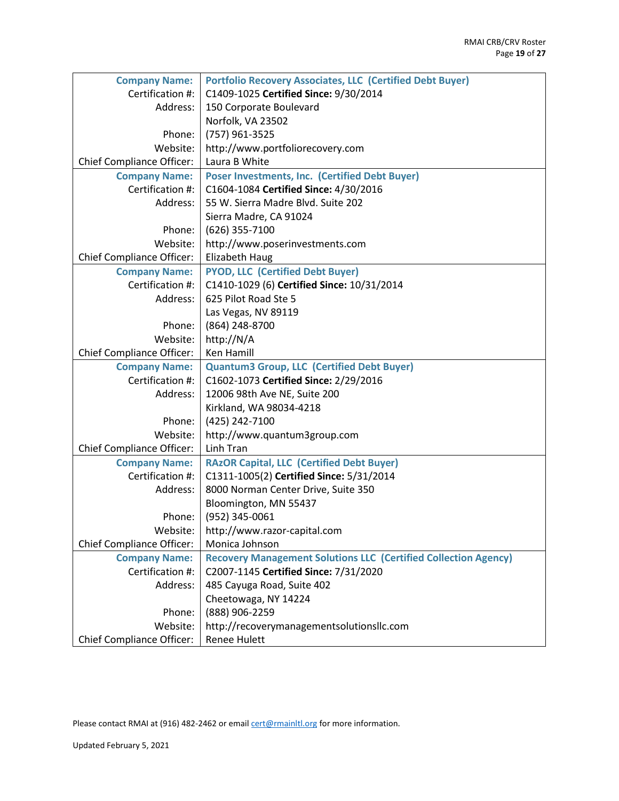| <b>Company Name:</b>             | <b>Portfolio Recovery Associates, LLC (Certified Debt Buyer)</b>       |
|----------------------------------|------------------------------------------------------------------------|
| Certification #:                 | C1409-1025 Certified Since: 9/30/2014                                  |
| Address:                         | 150 Corporate Boulevard                                                |
|                                  | Norfolk, VA 23502                                                      |
| Phone:                           | (757) 961-3525                                                         |
| Website:                         | http://www.portfoliorecovery.com                                       |
| <b>Chief Compliance Officer:</b> | Laura B White                                                          |
| <b>Company Name:</b>             | <b>Poser Investments, Inc. (Certified Debt Buyer)</b>                  |
| Certification #:                 | C1604-1084 Certified Since: 4/30/2016                                  |
| Address:                         | 55 W. Sierra Madre Blvd. Suite 202                                     |
|                                  | Sierra Madre, CA 91024                                                 |
| Phone:                           | $(626)$ 355-7100                                                       |
| Website:                         | http://www.poserinvestments.com                                        |
| <b>Chief Compliance Officer:</b> | Elizabeth Haug                                                         |
| <b>Company Name:</b>             | <b>PYOD, LLC (Certified Debt Buyer)</b>                                |
| Certification #:                 | C1410-1029 (6) Certified Since: 10/31/2014                             |
| Address:                         | 625 Pilot Road Ste 5                                                   |
|                                  | Las Vegas, NV 89119                                                    |
| Phone:                           | (864) 248-8700                                                         |
| Website:                         | http://N/A                                                             |
| <b>Chief Compliance Officer:</b> | Ken Hamill                                                             |
| <b>Company Name:</b>             | <b>Quantum3 Group, LLC (Certified Debt Buyer)</b>                      |
| Certification #:                 | C1602-1073 Certified Since: 2/29/2016                                  |
| Address:                         | 12006 98th Ave NE, Suite 200                                           |
|                                  | Kirkland, WA 98034-4218                                                |
| Phone:                           | (425) 242-7100                                                         |
| Website:                         | http://www.quantum3group.com                                           |
| <b>Chief Compliance Officer:</b> | Linh Tran                                                              |
| <b>Company Name:</b>             | <b>RAzOR Capital, LLC (Certified Debt Buyer)</b>                       |
| Certification #:                 | C1311-1005(2) Certified Since: 5/31/2014                               |
| Address:                         | 8000 Norman Center Drive, Suite 350                                    |
|                                  | Bloomington, MN 55437                                                  |
| Phone:                           | (952) 345-0061                                                         |
| Website:                         | http://www.razor-capital.com                                           |
| <b>Chief Compliance Officer:</b> | Monica Johnson                                                         |
| <b>Company Name:</b>             | <b>Recovery Management Solutions LLC (Certified Collection Agency)</b> |
| Certification #:                 | C2007-1145 Certified Since: 7/31/2020                                  |
| Address:                         | 485 Cayuga Road, Suite 402                                             |
|                                  | Cheetowaga, NY 14224                                                   |
| Phone:                           | (888) 906-2259                                                         |
| Website:                         | http://recoverymanagementsolutionsllc.com                              |
| <b>Chief Compliance Officer:</b> | Renee Hulett                                                           |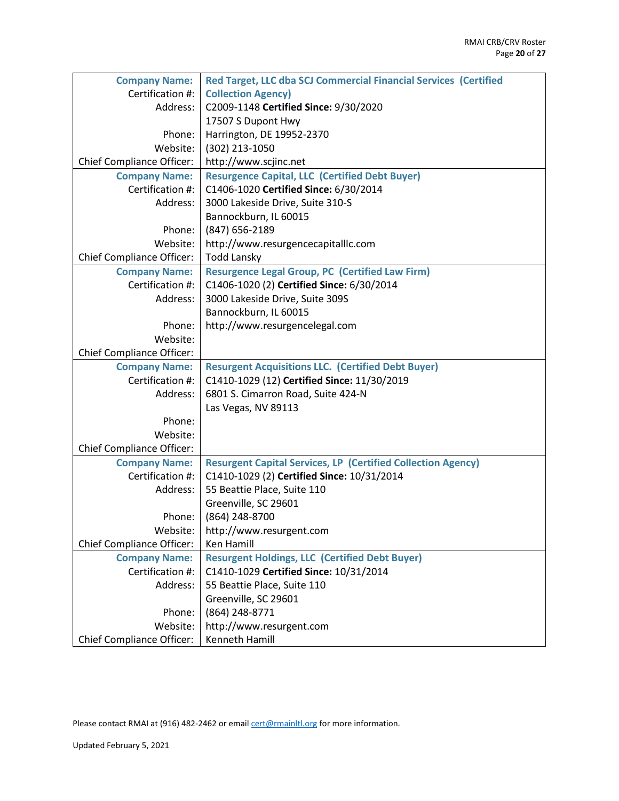| <b>Company Name:</b>             | Red Target, LLC dba SCJ Commercial Financial Services (Certified    |
|----------------------------------|---------------------------------------------------------------------|
| Certification #:                 | <b>Collection Agency)</b>                                           |
| Address:                         | C2009-1148 Certified Since: 9/30/2020                               |
|                                  | 17507 S Dupont Hwy                                                  |
| Phone:                           | Harrington, DE 19952-2370                                           |
| Website:                         | (302) 213-1050                                                      |
| <b>Chief Compliance Officer:</b> | http://www.scjinc.net                                               |
| <b>Company Name:</b>             | <b>Resurgence Capital, LLC (Certified Debt Buyer)</b>               |
| Certification #:                 | C1406-1020 Certified Since: 6/30/2014                               |
| Address:                         | 3000 Lakeside Drive, Suite 310-S                                    |
|                                  | Bannockburn, IL 60015                                               |
| Phone:                           | (847) 656-2189                                                      |
| Website:                         | http://www.resurgencecapitalllc.com                                 |
| <b>Chief Compliance Officer:</b> | <b>Todd Lansky</b>                                                  |
| <b>Company Name:</b>             | <b>Resurgence Legal Group, PC (Certified Law Firm)</b>              |
| Certification #:                 | C1406-1020 (2) Certified Since: 6/30/2014                           |
| Address:                         | 3000 Lakeside Drive, Suite 309S                                     |
|                                  | Bannockburn, IL 60015                                               |
| Phone:                           | http://www.resurgencelegal.com                                      |
| Website:                         |                                                                     |
| <b>Chief Compliance Officer:</b> |                                                                     |
| <b>Company Name:</b>             | <b>Resurgent Acquisitions LLC. (Certified Debt Buyer)</b>           |
| Certification #:                 | C1410-1029 (12) Certified Since: 11/30/2019                         |
| Address:                         | 6801 S. Cimarron Road, Suite 424-N                                  |
|                                  | Las Vegas, NV 89113                                                 |
| Phone:                           |                                                                     |
| Website:                         |                                                                     |
| <b>Chief Compliance Officer:</b> |                                                                     |
| <b>Company Name:</b>             | <b>Resurgent Capital Services, LP (Certified Collection Agency)</b> |
| Certification #:                 | C1410-1029 (2) Certified Since: 10/31/2014                          |
| Address:                         | 55 Beattie Place, Suite 110                                         |
|                                  | Greenville, SC 29601                                                |
| Phone:                           | (864) 248-8700                                                      |
| Website:                         | http://www.resurgent.com                                            |
| <b>Chief Compliance Officer:</b> | Ken Hamill                                                          |
| <b>Company Name:</b>             | <b>Resurgent Holdings, LLC (Certified Debt Buyer)</b>               |
| Certification #:                 | C1410-1029 Certified Since: 10/31/2014                              |
| Address:                         | 55 Beattie Place, Suite 110                                         |
|                                  | Greenville, SC 29601                                                |
| Phone:                           | (864) 248-8771                                                      |
| Website:                         | http://www.resurgent.com                                            |
| <b>Chief Compliance Officer:</b> | Kenneth Hamill                                                      |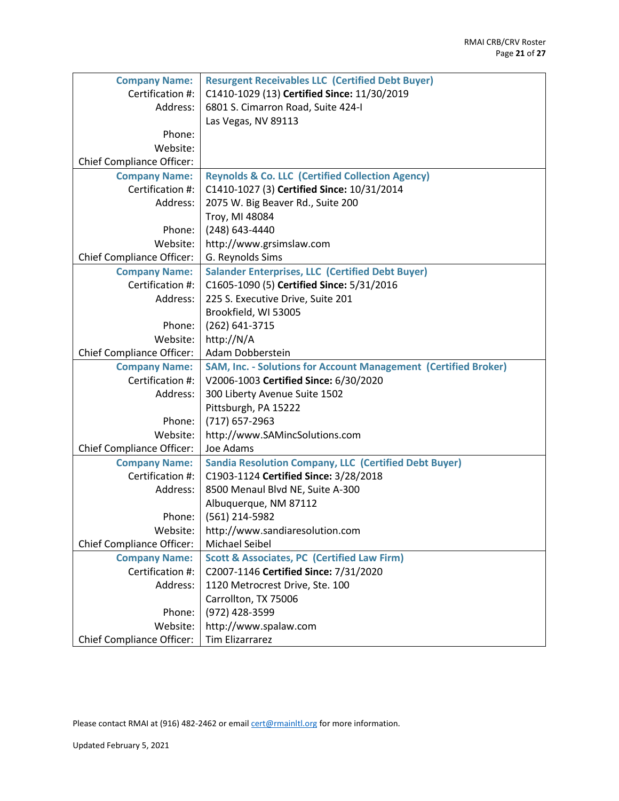| <b>Company Name:</b>             | <b>Resurgent Receivables LLC (Certified Debt Buyer)</b>         |
|----------------------------------|-----------------------------------------------------------------|
| Certification #:                 | C1410-1029 (13) Certified Since: 11/30/2019                     |
| Address:                         | 6801 S. Cimarron Road, Suite 424-I                              |
|                                  | Las Vegas, NV 89113                                             |
| Phone:                           |                                                                 |
| Website:                         |                                                                 |
| <b>Chief Compliance Officer:</b> |                                                                 |
| <b>Company Name:</b>             | <b>Reynolds &amp; Co. LLC (Certified Collection Agency)</b>     |
| Certification #:                 | C1410-1027 (3) Certified Since: 10/31/2014                      |
| Address:                         | 2075 W. Big Beaver Rd., Suite 200                               |
|                                  | Troy, MI 48084                                                  |
| Phone:                           | (248) 643-4440                                                  |
| Website:                         | http://www.grsimslaw.com                                        |
| <b>Chief Compliance Officer:</b> | G. Reynolds Sims                                                |
| <b>Company Name:</b>             | <b>Salander Enterprises, LLC (Certified Debt Buyer)</b>         |
| Certification #:                 | C1605-1090 (5) Certified Since: 5/31/2016                       |
| Address:                         | 225 S. Executive Drive, Suite 201                               |
|                                  | Brookfield, WI 53005                                            |
| Phone:                           | (262) 641-3715                                                  |
| Website:                         | http://N/A                                                      |
| <b>Chief Compliance Officer:</b> | Adam Dobberstein                                                |
| <b>Company Name:</b>             | SAM, Inc. - Solutions for Account Management (Certified Broker) |
| Certification #:                 | V2006-1003 Certified Since: 6/30/2020                           |
| Address:                         | 300 Liberty Avenue Suite 1502                                   |
|                                  | Pittsburgh, PA 15222                                            |
| Phone:                           | (717) 657-2963                                                  |
| Website:                         | http://www.SAMincSolutions.com                                  |
| <b>Chief Compliance Officer:</b> | Joe Adams                                                       |
| <b>Company Name:</b>             | <b>Sandia Resolution Company, LLC (Certified Debt Buyer)</b>    |
| Certification #:                 | C1903-1124 Certified Since: 3/28/2018                           |
| Address:                         | 8500 Menaul Blvd NE, Suite A-300                                |
|                                  | Albuquerque, NM 87112                                           |
| Phone:                           | (561) 214-5982                                                  |
| Website:                         | http://www.sandiaresolution.com                                 |
| <b>Chief Compliance Officer:</b> | <b>Michael Seibel</b>                                           |
| <b>Company Name:</b>             | <b>Scott &amp; Associates, PC (Certified Law Firm)</b>          |
| Certification #:                 | C2007-1146 Certified Since: 7/31/2020                           |
| Address:                         | 1120 Metrocrest Drive, Ste. 100                                 |
|                                  | Carrollton, TX 75006                                            |
| Phone:                           | (972) 428-3599                                                  |
| Website:                         | http://www.spalaw.com                                           |
| <b>Chief Compliance Officer:</b> | Tim Elizarrarez                                                 |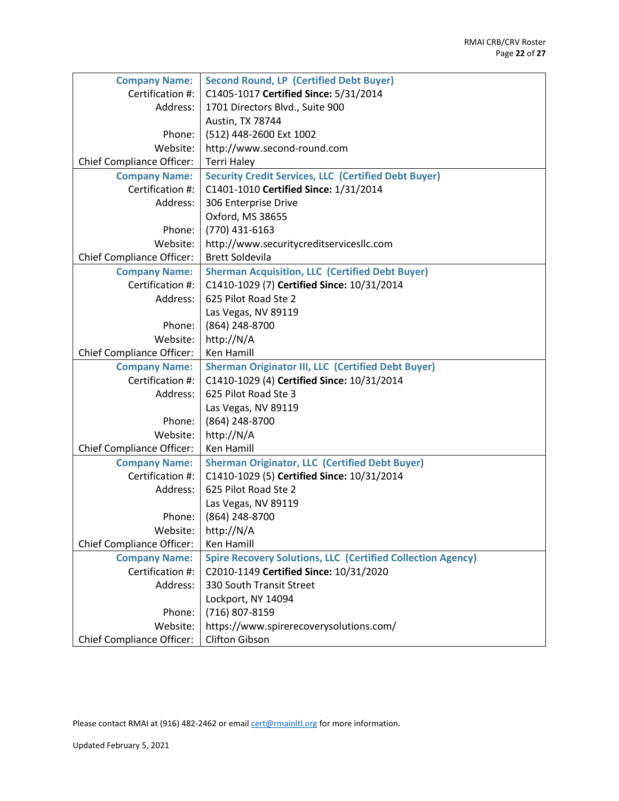| <b>Company Name:</b>                     | <b>Second Round, LP (Certified Debt Buyer)</b>                     |
|------------------------------------------|--------------------------------------------------------------------|
| Certification #:                         | C1405-1017 Certified Since: 5/31/2014                              |
| Address:                                 | 1701 Directors Blvd., Suite 900                                    |
|                                          | Austin, TX 78744                                                   |
| Phone:                                   | (512) 448-2600 Ext 1002                                            |
| Website:                                 | http://www.second-round.com                                        |
| <b>Chief Compliance Officer:</b>         | <b>Terri Haley</b>                                                 |
| <b>Company Name:</b>                     | <b>Security Credit Services, LLC (Certified Debt Buyer)</b>        |
| Certification #:                         | C1401-1010 Certified Since: 1/31/2014                              |
| Address:                                 | 306 Enterprise Drive                                               |
|                                          | Oxford, MS 38655                                                   |
| Phone:                                   | $(770)$ 431-6163                                                   |
| Website:                                 | http://www.securitycreditservicesllc.com                           |
| <b>Chief Compliance Officer:</b>         | <b>Brett Soldevila</b>                                             |
| <b>Company Name:</b>                     | <b>Sherman Acquisition, LLC (Certified Debt Buyer)</b>             |
| Certification #:                         | C1410-1029 (7) Certified Since: 10/31/2014                         |
| Address:                                 | 625 Pilot Road Ste 2                                               |
|                                          | Las Vegas, NV 89119                                                |
| Phone:                                   | (864) 248-8700                                                     |
| Website:                                 | http://N/A                                                         |
| <b>Chief Compliance Officer:</b>         | Ken Hamill                                                         |
| <b>Company Name:</b>                     | <b>Sherman Originator III, LLC (Certified Debt Buyer)</b>          |
| Certification #:                         | C1410-1029 (4) Certified Since: 10/31/2014                         |
| Address:                                 | 625 Pilot Road Ste 3                                               |
|                                          | Las Vegas, NV 89119                                                |
| Phone:                                   | (864) 248-8700                                                     |
| Website:                                 | http://N/A                                                         |
|                                          | Ken Hamill                                                         |
| <b>Chief Compliance Officer:</b>         |                                                                    |
| <b>Company Name:</b><br>Certification #: | <b>Sherman Originator, LLC (Certified Debt Buyer)</b>              |
|                                          | C1410-1029 (5) Certified Since: 10/31/2014                         |
| Address:                                 | 625 Pilot Road Ste 2                                               |
|                                          | Las Vegas, NV 89119                                                |
| Phone:                                   | (864) 248-8700                                                     |
| Website:                                 | http://N/A                                                         |
| <b>Chief Compliance Officer:</b>         | Ken Hamill                                                         |
| <b>Company Name:</b>                     | <b>Spire Recovery Solutions, LLC (Certified Collection Agency)</b> |
| Certification #:                         | C2010-1149 Certified Since: 10/31/2020                             |
| Address:                                 | 330 South Transit Street                                           |
|                                          | Lockport, NY 14094                                                 |
| Phone:                                   | (716) 807-8159                                                     |
| Website:                                 | https://www.spirerecoverysolutions.com/                            |
| <b>Chief Compliance Officer:</b>         | Clifton Gibson                                                     |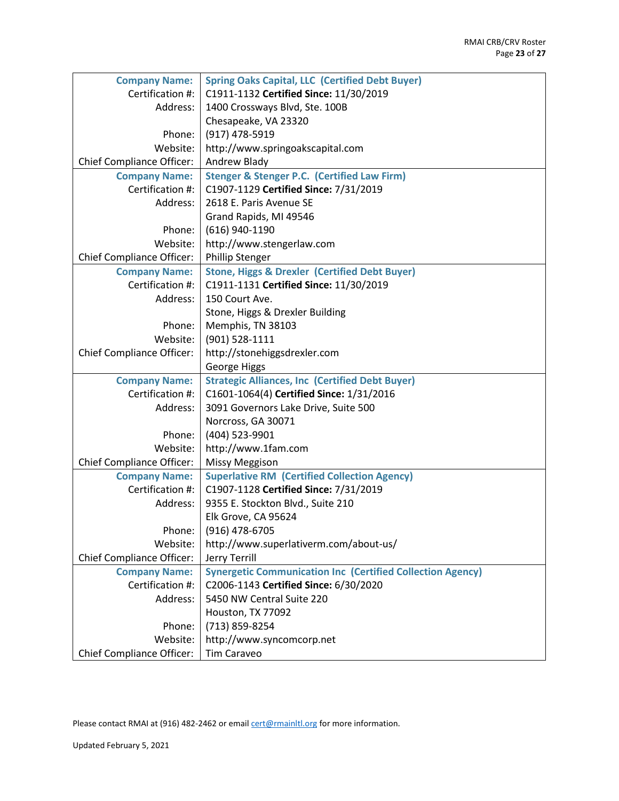| <b>Company Name:</b>             | <b>Spring Oaks Capital, LLC (Certified Debt Buyer)</b>            |
|----------------------------------|-------------------------------------------------------------------|
| Certification #:                 | C1911-1132 Certified Since: 11/30/2019                            |
| Address:                         | 1400 Crossways Blvd, Ste. 100B                                    |
|                                  | Chesapeake, VA 23320                                              |
| Phone:                           | (917) 478-5919                                                    |
| Website:                         | http://www.springoakscapital.com                                  |
| <b>Chief Compliance Officer:</b> | Andrew Blady                                                      |
| <b>Company Name:</b>             | <b>Stenger &amp; Stenger P.C. (Certified Law Firm)</b>            |
| Certification #:                 | C1907-1129 Certified Since: 7/31/2019                             |
| Address:                         | 2618 E. Paris Avenue SE                                           |
|                                  | Grand Rapids, MI 49546                                            |
| Phone:                           | (616) 940-1190                                                    |
| Website:                         | http://www.stengerlaw.com                                         |
| <b>Chief Compliance Officer:</b> | <b>Phillip Stenger</b>                                            |
| <b>Company Name:</b>             | <b>Stone, Higgs &amp; Drexler (Certified Debt Buyer)</b>          |
| Certification #:                 | C1911-1131 Certified Since: 11/30/2019                            |
| Address:                         | 150 Court Ave.                                                    |
|                                  | Stone, Higgs & Drexler Building                                   |
| Phone:                           | Memphis, TN 38103                                                 |
| Website:                         | $(901) 528 - 1111$                                                |
| <b>Chief Compliance Officer:</b> | http://stonehiggsdrexler.com                                      |
|                                  | <b>George Higgs</b>                                               |
| <b>Company Name:</b>             | <b>Strategic Alliances, Inc (Certified Debt Buyer)</b>            |
| Certification #:                 | C1601-1064(4) Certified Since: 1/31/2016                          |
| Address:                         | 3091 Governors Lake Drive, Suite 500                              |
|                                  | Norcross, GA 30071                                                |
| Phone:                           | (404) 523-9901                                                    |
| Website:                         | http://www.1fam.com                                               |
| <b>Chief Compliance Officer:</b> | <b>Missy Meggison</b>                                             |
| <b>Company Name:</b>             | <b>Superlative RM (Certified Collection Agency)</b>               |
| Certification #:                 | C1907-1128 Certified Since: 7/31/2019                             |
| Address:                         | 9355 E. Stockton Blvd., Suite 210                                 |
|                                  | Elk Grove, CA 95624                                               |
| Phone:                           | (916) 478-6705                                                    |
| Website:                         | http://www.superlativerm.com/about-us/                            |
| <b>Chief Compliance Officer:</b> | Jerry Terrill                                                     |
| <b>Company Name:</b>             | <b>Synergetic Communication Inc (Certified Collection Agency)</b> |
| Certification #:                 | C2006-1143 Certified Since: 6/30/2020                             |
| Address:                         | 5450 NW Central Suite 220                                         |
|                                  | Houston, TX 77092                                                 |
| Phone:                           | (713) 859-8254                                                    |
| Website:                         | http://www.syncomcorp.net                                         |
| <b>Chief Compliance Officer:</b> | Tim Caraveo                                                       |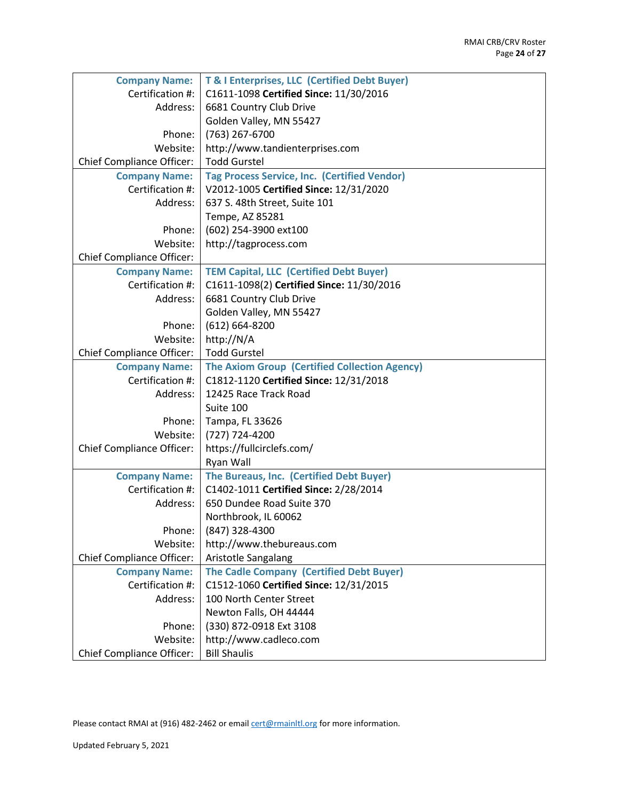| <b>Company Name:</b>             | T & I Enterprises, LLC (Certified Debt Buyer)        |
|----------------------------------|------------------------------------------------------|
| Certification #:                 | C1611-1098 Certified Since: 11/30/2016               |
| Address:                         | 6681 Country Club Drive                              |
|                                  | Golden Valley, MN 55427                              |
| Phone:                           | (763) 267-6700                                       |
| Website:                         | http://www.tandienterprises.com                      |
| <b>Chief Compliance Officer:</b> | <b>Todd Gurstel</b>                                  |
| <b>Company Name:</b>             | <b>Tag Process Service, Inc. (Certified Vendor)</b>  |
| Certification #:                 | V2012-1005 Certified Since: 12/31/2020               |
| Address:                         | 637 S. 48th Street, Suite 101                        |
|                                  | Tempe, AZ 85281                                      |
| Phone:                           | (602) 254-3900 ext100                                |
| Website:                         | http://tagprocess.com                                |
| <b>Chief Compliance Officer:</b> |                                                      |
| <b>Company Name:</b>             | <b>TEM Capital, LLC (Certified Debt Buyer)</b>       |
| Certification #:                 | C1611-1098(2) Certified Since: 11/30/2016            |
| Address:                         | 6681 Country Club Drive                              |
|                                  | Golden Valley, MN 55427                              |
| Phone:                           | $(612) 664 - 8200$                                   |
| Website:                         | http://N/A                                           |
| <b>Chief Compliance Officer:</b> | <b>Todd Gurstel</b>                                  |
| <b>Company Name:</b>             | <b>The Axiom Group (Certified Collection Agency)</b> |
| Certification #:                 | C1812-1120 Certified Since: 12/31/2018               |
| Address:                         | 12425 Race Track Road                                |
|                                  | Suite 100                                            |
| Phone:                           | Tampa, FL 33626                                      |
| Website:                         | (727) 724-4200                                       |
| <b>Chief Compliance Officer:</b> | https://fullcirclefs.com/                            |
|                                  | Ryan Wall                                            |
| <b>Company Name:</b>             | The Bureaus, Inc. (Certified Debt Buyer)             |
| Certification #:                 | C1402-1011 Certified Since: 2/28/2014                |
| Address:                         | 650 Dundee Road Suite 370                            |
|                                  | Northbrook, IL 60062                                 |
| Phone:                           | (847) 328-4300                                       |
| Website:                         | http://www.thebureaus.com                            |
| <b>Chief Compliance Officer:</b> | Aristotle Sangalang                                  |
| <b>Company Name:</b>             | <b>The Cadle Company (Certified Debt Buyer)</b>      |
| Certification #:                 | C1512-1060 Certified Since: 12/31/2015               |
| Address:                         | 100 North Center Street                              |
|                                  | Newton Falls, OH 44444                               |
| Phone:                           | (330) 872-0918 Ext 3108                              |
| Website:                         | http://www.cadleco.com                               |
| <b>Chief Compliance Officer:</b> | <b>Bill Shaulis</b>                                  |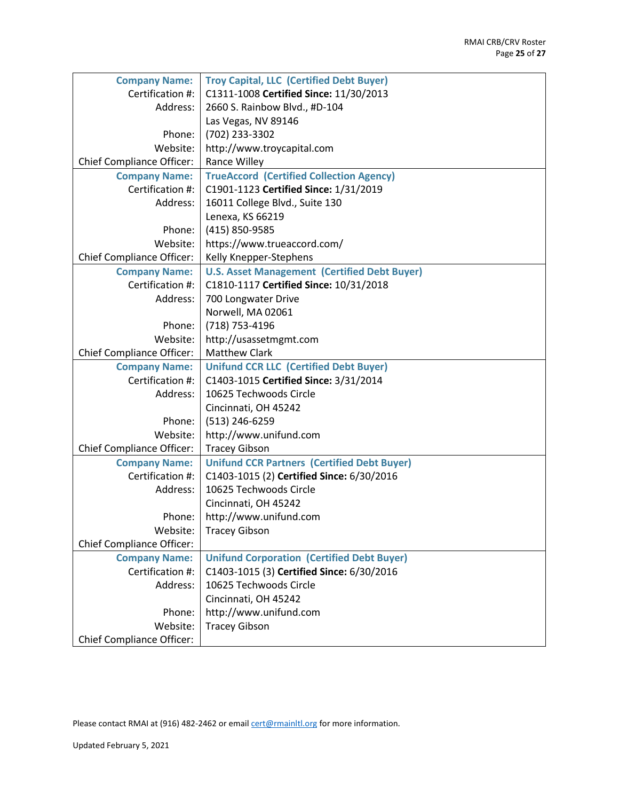| <b>Company Name:</b>             | <b>Troy Capital, LLC (Certified Debt Buyer)</b>     |
|----------------------------------|-----------------------------------------------------|
| Certification #:                 | C1311-1008 Certified Since: 11/30/2013              |
| Address:                         | 2660 S. Rainbow Blvd., #D-104                       |
|                                  | Las Vegas, NV 89146                                 |
| Phone:                           | (702) 233-3302                                      |
| Website:                         | http://www.troycapital.com                          |
| <b>Chief Compliance Officer:</b> | Rance Willey                                        |
| <b>Company Name:</b>             | <b>TrueAccord (Certified Collection Agency)</b>     |
| Certification #:                 | C1901-1123 Certified Since: 1/31/2019               |
| Address:                         | 16011 College Blvd., Suite 130                      |
|                                  |                                                     |
|                                  | Lenexa, KS 66219                                    |
| Phone:                           | (415) 850-9585                                      |
| Website:                         | https://www.trueaccord.com/                         |
| <b>Chief Compliance Officer:</b> | Kelly Knepper-Stephens                              |
| <b>Company Name:</b>             | <b>U.S. Asset Management (Certified Debt Buyer)</b> |
| Certification #:                 | C1810-1117 Certified Since: 10/31/2018              |
| Address:                         | 700 Longwater Drive                                 |
|                                  | Norwell, MA 02061                                   |
| Phone:                           | (718) 753-4196                                      |
| Website:                         | http://usassetmgmt.com                              |
| <b>Chief Compliance Officer:</b> | <b>Matthew Clark</b>                                |
| <b>Company Name:</b>             | <b>Unifund CCR LLC (Certified Debt Buyer)</b>       |
| Certification #:                 | C1403-1015 Certified Since: 3/31/2014               |
| Address:                         | 10625 Techwoods Circle                              |
|                                  | Cincinnati, OH 45242                                |
| Phone:                           | (513) 246-6259                                      |
| Website:                         | http://www.unifund.com                              |
| <b>Chief Compliance Officer:</b> | <b>Tracey Gibson</b>                                |
| <b>Company Name:</b>             | <b>Unifund CCR Partners (Certified Debt Buyer)</b>  |
| Certification #:                 | C1403-1015 (2) Certified Since: 6/30/2016           |
| Address:                         | 10625 Techwoods Circle                              |
|                                  | Cincinnati, OH 45242                                |
| Phone:                           | http://www.unifund.com                              |
| Website:                         | <b>Tracey Gibson</b>                                |
| <b>Chief Compliance Officer:</b> |                                                     |
| <b>Company Name:</b>             | <b>Unifund Corporation (Certified Debt Buyer)</b>   |
| Certification #:                 | C1403-1015 (3) Certified Since: 6/30/2016           |
| Address:                         | 10625 Techwoods Circle                              |
|                                  | Cincinnati, OH 45242                                |
| Phone:                           | http://www.unifund.com                              |
| Website:                         | <b>Tracey Gibson</b>                                |
| <b>Chief Compliance Officer:</b> |                                                     |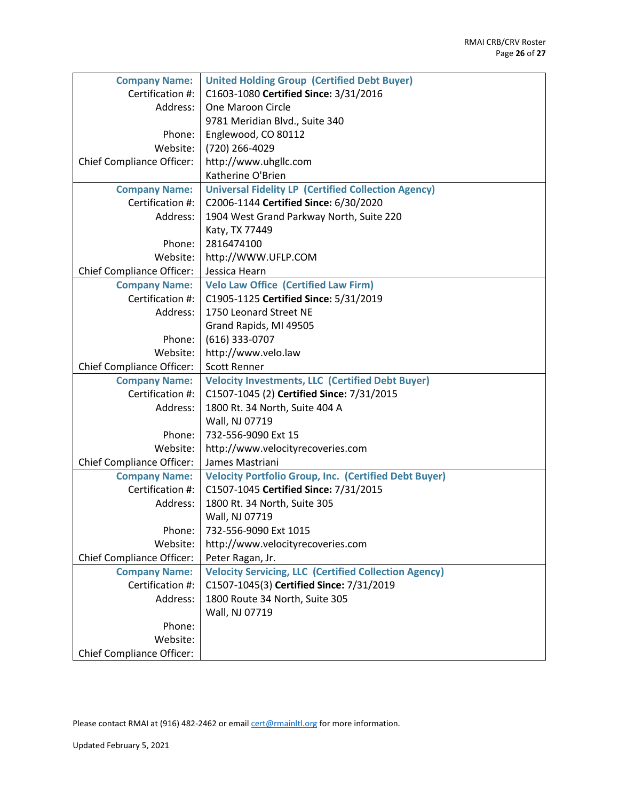| <b>Company Name:</b>             | <b>United Holding Group (Certified Debt Buyer)</b>           |
|----------------------------------|--------------------------------------------------------------|
| Certification #:                 | C1603-1080 Certified Since: 3/31/2016                        |
| Address:                         | One Maroon Circle                                            |
|                                  | 9781 Meridian Blvd., Suite 340                               |
| Phone:                           | Englewood, CO 80112                                          |
| Website:                         | (720) 266-4029                                               |
| <b>Chief Compliance Officer:</b> | http://www.uhgllc.com                                        |
|                                  | Katherine O'Brien                                            |
| <b>Company Name:</b>             | <b>Universal Fidelity LP (Certified Collection Agency)</b>   |
| Certification #:                 | C2006-1144 Certified Since: 6/30/2020                        |
| Address:                         | 1904 West Grand Parkway North, Suite 220                     |
|                                  | Katy, TX 77449                                               |
| Phone:                           | 2816474100                                                   |
| Website:                         | http://WWW.UFLP.COM                                          |
| <b>Chief Compliance Officer:</b> | Jessica Hearn                                                |
| <b>Company Name:</b>             | <b>Velo Law Office (Certified Law Firm)</b>                  |
| Certification #:                 | C1905-1125 Certified Since: 5/31/2019                        |
| Address:                         | 1750 Leonard Street NE                                       |
|                                  | Grand Rapids, MI 49505                                       |
| Phone:                           | $(616)$ 333-0707                                             |
| Website:                         | http://www.velo.law                                          |
| <b>Chief Compliance Officer:</b> | <b>Scott Renner</b>                                          |
| <b>Company Name:</b>             | <b>Velocity Investments, LLC (Certified Debt Buyer)</b>      |
| Certification #:                 | C1507-1045 (2) Certified Since: 7/31/2015                    |
| Address:                         | 1800 Rt. 34 North, Suite 404 A                               |
|                                  | Wall, NJ 07719                                               |
| Phone:                           | 732-556-9090 Ext 15                                          |
| Website:                         | http://www.velocityrecoveries.com                            |
| <b>Chief Compliance Officer:</b> | James Mastriani                                              |
| <b>Company Name:</b>             | <b>Velocity Portfolio Group, Inc. (Certified Debt Buyer)</b> |
| Certification #:                 | C1507-1045 Certified Since: 7/31/2015                        |
| Address:                         | 1800 Rt. 34 North, Suite 305                                 |
|                                  | Wall, NJ 07719                                               |
| Phone:                           | 732-556-9090 Ext 1015                                        |
| Website:                         | http://www.velocityrecoveries.com                            |
| <b>Chief Compliance Officer:</b> | Peter Ragan, Jr.                                             |
| <b>Company Name:</b>             | <b>Velocity Servicing, LLC (Certified Collection Agency)</b> |
| Certification #:                 | C1507-1045(3) Certified Since: 7/31/2019                     |
| Address:                         | 1800 Route 34 North, Suite 305                               |
|                                  | Wall, NJ 07719                                               |
| Phone:                           |                                                              |
| Website:                         |                                                              |
| <b>Chief Compliance Officer:</b> |                                                              |